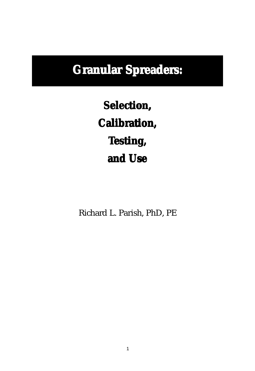# **Granular Spreaders: Granular Spreaders: Granular**

 $S^{e}$ **Calibration, Calibration, Testing, esting, esting, and Use and Use**

Richard L. Parish, PhD, PE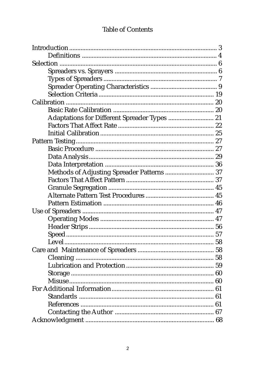### **Table of Contents**

| Adaptations for Different Spreader Types  21 |  |
|----------------------------------------------|--|
|                                              |  |
|                                              |  |
|                                              |  |
|                                              |  |
|                                              |  |
|                                              |  |
| Methods of Adjusting Spreader Patterns  37   |  |
|                                              |  |
|                                              |  |
|                                              |  |
|                                              |  |
|                                              |  |
|                                              |  |
|                                              |  |
|                                              |  |
|                                              |  |
|                                              |  |
|                                              |  |
|                                              |  |
|                                              |  |
|                                              |  |
|                                              |  |
|                                              |  |
|                                              |  |
|                                              |  |
|                                              |  |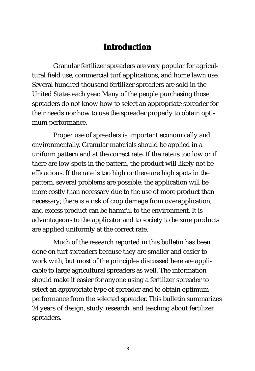# **Introduction**

Granular fertilizer spreaders are very popular for agricultural field use, commercial turf applications, and home lawn use. Several hundred thousand fertilizer spreaders are sold in the United States each year. Many of the people purchasing those spreaders do not know how to select an appropriate spreader for their needs nor how to use the spreader properly to obtain optimum performance.

Proper use of spreaders is important economically and environmentally. Granular materials should be applied in a uniform pattern and at the correct rate. If the rate is too low or if there are low spots in the pattern, the product will likely not be efficacious. If the rate is too high or there are high spots in the pattern, several problems are possible: the application will be more costly than necessary due to the use of more product than necessary; there is a risk of crop damage from overapplication; and excess product can be harmful to the environment. It is advantageous to the applicator and to society to be sure products are applied uniformly at the correct rate.

Much of the research reported in this bulletin has been done on turf spreaders because they are smaller and easier to work with, but most of the principles discussed here are applicable to large agricultural spreaders as well. The information should make it easier for anyone using a fertilizer spreader to select an appropriate type of spreader and to obtain optimum performance from the selected spreader. This bulletin summarizes 24 years of design, study, research, and teaching about fertilizer spreaders.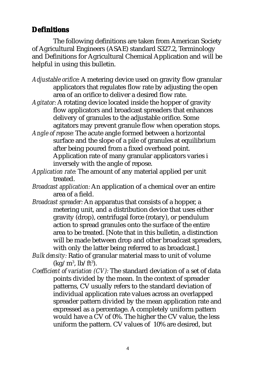### **Definitions**

The following definitions are taken from American Society of Agricultural Engineers (ASAE) standard S327.2, Terminology and Definitions for Agricultural Chemical Application and will be helpful in using this bulletin.

- *Adjustable orifice:* A metering device used on gravity flow granular applicators that regulates flow rate by adjusting the open area of an orifice to deliver a desired flow rate.
- *Agitator:* A rotating device located inside the hopper of gravity flow applicators and broadcast spreaders that enhances delivery of granules to the adjustable orifice. Some agitators may prevent granule flow when operation stops.
- *Angle of repose:* The acute angle formed between a horizontal surface and the slope of a pile of granules at equilibrium after being poured from a fixed overhead point. Application rate of many granular applicators varies i inversely with the angle of repose.
- *Application rate:* The amount of any material applied per unit treated.
- *Broadcast application:* An application of a chemical over an entire area of a field.
- *Broadcast spreader:* An apparatus that consists of a hopper, a metering unit, and a distribution device that uses either gravity (drop), centrifugal force (rotary), or pendulum action to spread granules onto the surface of the entire area to be treated. [Note that in this bulletin, a distinction will be made between drop and other broadcast spreaders, with only the latter being referred to as broadcast.]
- *Bulk density:* Ratio of granular material mass to unit of volume  $(kg/m^3, lb/ft^3).$
- *Coefficient of variation (CV):* The standard deviation of a set of data points divided by the mean. In the context of spreader patterns, CV usually refers to the standard deviation of individual application rate values across an overlapped spreader pattern divided by the mean application rate and expressed as a percentage. A completely uniform pattern would have a CV of 0%. The higher the CV value, the less uniform the pattern. CV values of 10% are desired, but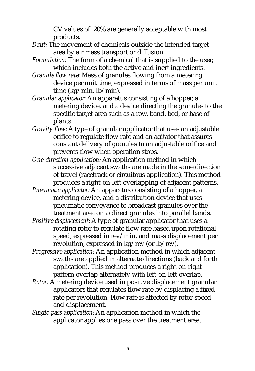CV values of 20% are generally acceptable with most products.

- *Drift:* The movement of chemicals outside the intended target area by air mass transport or diffusion.
- *Formulation:* The form of a chemical that is supplied to the user, which includes both the active and inert ingredients.
- *Granule flow rate:* Mass of granules flowing from a metering device per unit time, expressed in terms of mass per unit time (kg/min, lb/min).
- *Granular applicator:* An apparatus consisting of a hopper, a metering device, and a device directing the granules to the specific target area such as a row, band, bed, or base of plants.
- *Gravity flow:* A type of granular applicator that uses an adjustable orifice to regulate flow rate and an agitator that assures constant delivery of granules to an adjustable orifice and prevents flow when operation stops.
- *One-direction application:* An application method in which successive adjacent swaths are made in the same direction of travel (racetrack or circuitous application). This method produces a right-on-left overlapping of adjacent patterns.
- *Pneumatic applicator:* An apparatus consisting of a hopper, a metering device, and a distribution device that uses pneumatic conveyance to broadcast granules over the treatment area or to direct granules into parallel bands.
- *Positive displacement:* A type of granular applicator that uses a rotating rotor to regulate flow rate based upon rotational speed, expressed in rev/min, and mass displacement per revolution, expressed in kg/rev (or lb/rev).
- *Progressive application:* An application method in which adjacent swaths are applied in alternate directions (back and forth application). This method produces a right-on-right pattern overlap alternately with left-on-left overlap.
- *Rotor:* A metering device used in positive displacement granular applicators that regulates flow rate by displacing a fixed rate per revolution. Flow rate is affected by rotor speed and displacement.
- *Single-pass application:* An application method in which the applicator applies one pass over the treatment area.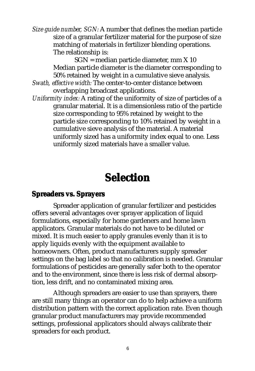*Size guide number, SGN:* A number that defines the median particle size of a granular fertilizer material for the purpose of size matching of materials in fertilizer blending operations. The relationship is:

> SGN = median particle diameter, mm X 10 Median particle diameter is the diameter corresponding to 50% retained by weight in a cumulative sieve analysis.

- *Swath, effective width:* The center-to-center distance between overlapping broadcast applications.
- *Uniformity index:* A rating of the uniformity of size of particles of a granular material. It is a dimensionless ratio of the particle size corresponding to 95% retained by weight to the particle size corresponding to 10% retained by weight in a cumulative sieve analysis of the material. A material uniformly sized has a uniformity index equal to one. Less uniformly sized materials have a smaller value.

# **Selection**

#### **Spreaders vs. Sprayers**

Spreader application of granular fertilizer and pesticides offers several advantages over sprayer application of liquid formulations, especially for home gardeners and home lawn applicators. Granular materials do not have to be diluted or mixed. It is much easier to apply granules evenly than it is to apply liquids evenly with the equipment available to homeowners. Often, product manufacturers supply spreader settings on the bag label so that no calibration is needed. Granular formulations of pesticides are generally safer both to the operator and to the environment, since there is less risk of dermal absorption, less drift, and no contaminated mixing area.

Although spreaders are easier to use than sprayers, there are still many things an operator can do to help achieve a uniform distribution pattern with the correct application rate. Even though granular product manufacturers may provide recommended settings, professional applicators should always calibrate their spreaders for each product.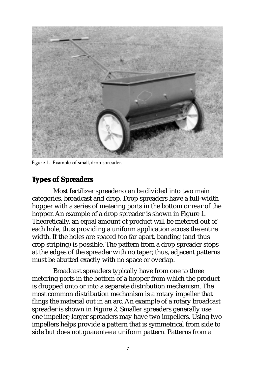

Figure 1. Example of small, drop spreader.

### **Types of Spreaders**

Most fertilizer spreaders can be divided into two main categories, broadcast and drop. Drop spreaders have a full-width hopper with a series of metering ports in the bottom or rear of the hopper. An example of a drop spreader is shown in Figure 1. Theoretically, an equal amount of product will be metered out of each hole, thus providing a uniform application across the entire width. If the holes are spaced too far apart, banding (and thus crop striping) is possible. The pattern from a drop spreader stops at the edges of the spreader with no taper; thus, adjacent patterns must be abutted exactly with no space or overlap.

Broadcast spreaders typically have from one to three metering ports in the bottom of a hopper from which the product is dropped onto or into a separate distribution mechanism. The most common distribution mechanism is a rotary impeller that flings the material out in an arc. An example of a rotary broadcast spreader is shown in Figure 2. Smaller spreaders generally use one impeller; larger spreaders may have two impellers. Using two impellers helps provide a pattern that is symmetrical from side to side but does not guarantee a uniform pattern. Patterns from a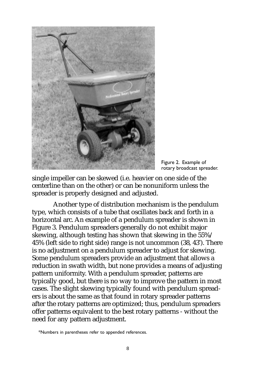

Figure 2. Example of rotary broadcast spreader.

single impeller can be skewed (i.e. heavier on one side of the centerline than on the other) or can be nonuniform unless the spreader is properly designed and adjusted.

Another type of distribution mechanism is the pendulum type, which consists of a tube that oscillates back and forth in a horizontal arc. An example of a pendulum spreader is shown in Figure 3. Pendulum spreaders generally do not exhibit major skewing, although testing has shown that skewing in the 55%/ 45% (left side to right side) range is not uncommon (38, 43\* ). There is no adjustment on a pendulum spreader to adjust for skewing. Some pendulum spreaders provide an adjustment that allows a reduction in swath width, but none provides a means of adjusting pattern uniformity. With a pendulum spreader, patterns are typically good, but there is no way to improve the pattern in most cases. The slight skewing typically found with pendulum spreaders is about the same as that found in rotary spreader patterns after the rotary patterns are optimized; thus, pendulum spreaders offer patterns equivalent to the best rotary patterns - without the need for any pattern adjustment.

<sup>\*</sup>Numbers in parentheses refer to appended references.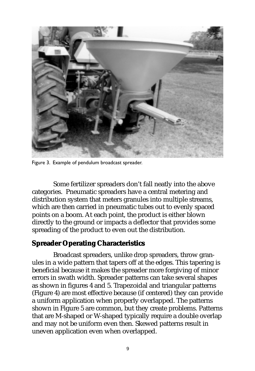

Figure 3. Example of pendulum broadcast spreader.

Some fertilizer spreaders don't fall neatly into the above categories. Pneumatic spreaders have a central metering and distribution system that meters granules into multiple streams, which are then carried in pneumatic tubes out to evenly spaced points on a boom. At each point, the product is either blown directly to the ground or impacts a deflector that provides some spreading of the product to even out the distribution.

### **Spreader Operating Characteristics**

Broadcast spreaders, unlike drop spreaders, throw granules in a wide pattern that tapers off at the edges. This tapering is beneficial because it makes the spreader more forgiving of minor errors in swath width. Spreader patterns can take several shapes as shown in figures 4 and 5. Trapezoidal and triangular patterns (Figure 4) are most effective because (if centered) they can provide a uniform application when properly overlapped. The patterns shown in Figure 5 are common, but they create problems. Patterns that are M-shaped or W-shaped typically require a double overlap and may not be uniform even then. Skewed patterns result in uneven application even when overlapped.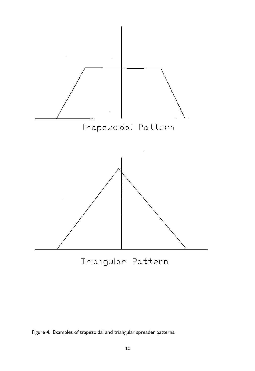

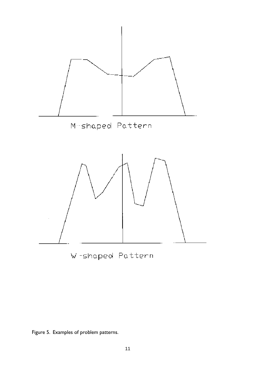

Figure 5. Examples of problem patterns.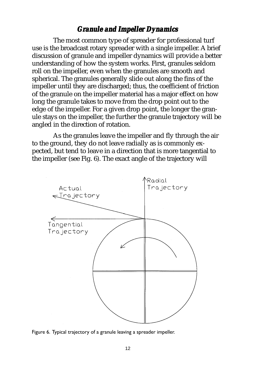### *Granule and Impeller Dynamics*

The most common type of spreader for professional turf use is the broadcast rotary spreader with a single impeller. A brief discussion of granule and impeller dynamics will provide a better understanding of how the system works. First, granules seldom roll on the impeller, even when the granules are smooth and spherical. The granules generally slide out along the fins of the impeller until they are discharged; thus, the coefficient of friction of the granule on the impeller material has a major effect on how long the granule takes to move from the drop point out to the edge of the impeller. For a given drop point, the longer the granule stays on the impeller, the further the granule trajectory will be angled in the direction of rotation.

As the granules leave the impeller and fly through the air to the ground, they do not leave radially as is commonly expected, but tend to leave in a direction that is more tangential to the impeller (see Fig. 6). The exact angle of the trajectory will



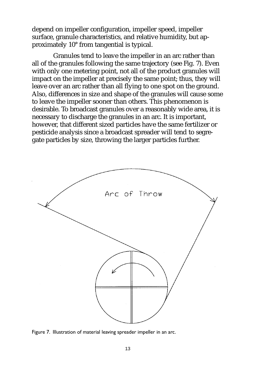depend on impeller configuration, impeller speed, impeller surface, granule characteristics, and relative humidity, but approximately 10° from tangential is typical.

Granules tend to leave the impeller in an arc rather than all of the granules following the same trajectory (see Fig. 7). Even with only one metering point, not all of the product granules will impact on the impeller at precisely the same point; thus, they will leave over an arc rather than all flying to one spot on the ground. Also, differences in size and shape of the granules will cause some to leave the impeller sooner than others. This phenomenon is desirable. To broadcast granules over a reasonably wide area, it is necessary to discharge the granules in an arc. It is important, however, that different sized particles have the same fertilizer or pesticide analysis since a broadcast spreader will tend to segregate particles by size, throwing the larger particles further.



Figure 7. Illustration of material leaving spreader impeller in an arc.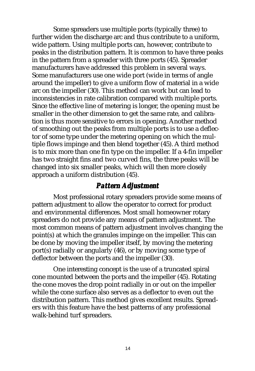Some spreaders use multiple ports (typically three) to further widen the discharge arc and thus contribute to a uniform, wide pattern. Using multiple ports can, however, contribute to peaks in the distribution pattern. It is common to have three peaks in the pattern from a spreader with three ports (45). Spreader manufacturers have addressed this problem in several ways. Some manufacturers use one wide port (wide in terms of angle around the impeller) to give a uniform flow of material in a wide arc on the impeller (30). This method can work but can lead to inconsistencies in rate calibration compared with multiple ports. Since the effective line of metering is longer, the opening must be smaller in the other dimension to get the same rate, and calibration is thus more sensitive to errors in opening. Another method of smoothing out the peaks from multiple ports is to use a deflector of some type under the metering opening on which the multiple flows impinge and then blend together (45). A third method is to mix more than one fin type on the impeller. If a 4-fin impeller has two straight fins and two curved fins, the three peaks will be changed into six smaller peaks, which will then more closely approach a uniform distribution (45).

### *Pattern Adjustment Adjustment*

Most professional rotary spreaders provide some means of pattern adjustment to allow the operator to correct for product and environmental differences. Most small homeowner rotary spreaders do not provide any means of pattern adjustment. The most common means of pattern adjustment involves changing the point(s) at which the granules impinge on the impeller. This can be done by moving the impeller itself, by moving the metering port(s) radially or angularly (46), or by moving some type of deflector between the ports and the impeller (30).

One interesting concept is the use of a truncated spiral cone mounted between the ports and the impeller (45). Rotating the cone moves the drop point radially in or out on the impeller while the cone surface also serves as a deflector to even out the distribution pattern. This method gives excellent results. Spreaders with this feature have the best patterns of any professional walk-behind turf spreaders.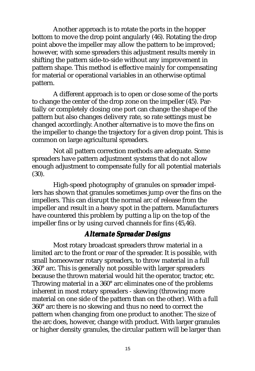Another approach is to rotate the ports in the hopper bottom to move the drop point angularly (46). Rotating the drop point above the impeller may allow the pattern to be improved; however, with some spreaders this adjustment results merely in shifting the pattern side-to-side without any improvement in pattern shape. This method is effective mainly for compensating for material or operational variables in an otherwise optimal pattern.

A different approach is to open or close some of the ports to change the center of the drop zone on the impeller (45). Partially or completely closing one port can change the shape of the pattern but also changes delivery rate, so rate settings must be changed accordingly. Another alternative is to move the fins on the impeller to change the trajectory for a given drop point. This is common on large agricultural spreaders.

Not all pattern correction methods are adequate. Some spreaders have pattern adjustment systems that do not allow enough adjustment to compensate fully for all potential materials (30).

High-speed photography of granules on spreader impellers has shown that granules sometimes jump over the fins on the impellers. This can disrupt the normal arc of release from the impeller and result in a heavy spot in the pattern. Manufacturers have countered this problem by putting a lip on the top of the impeller fins or by using curved channels for fins (45,46).

## *Alternate Spr Alternate Spreader Designs*

Most rotary broadcast spreaders throw material in a limited arc to the front or rear of the spreader. It is possible, with small homeowner rotary spreaders, to throw material in a full 360° arc. This is generally not possible with larger spreaders because the thrown material would hit the operator, tractor, etc. Throwing material in a 360° arc eliminates one of the problems inherent in most rotary spreaders - skewing (throwing more material on one side of the pattern than on the other). With a full 360° arc there is no skewing and thus no need to correct the pattern when changing from one product to another. The size of the arc does, however, change with product. With larger granules or higher density granules, the circular pattern will be larger than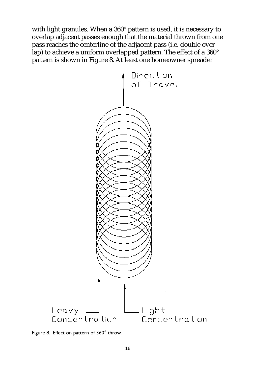with light granules. When a 360° pattern is used, it is necessary to overlap adjacent passes enough that the material thrown from one pass reaches the centerline of the adjacent pass (i.e. double overlap) to achieve a uniform overlapped pattern. The effect of a 360° pattern is shown in Figure 8. At least one homeowner spreader



Figure 8. Effect on pattern of 360° throw.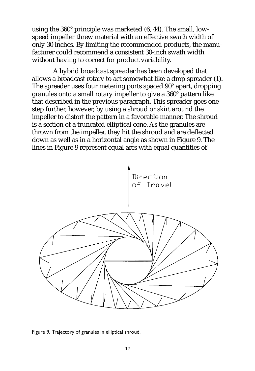using the 360° principle was marketed (6, 44). The small, lowspeed impeller threw material with an effective swath width of only 30 inches. By limiting the recommended products, the manufacturer could recommend a consistent 30-inch swath width without having to correct for product variability.

A hybrid broadcast spreader has been developed that allows a broadcast rotary to act somewhat like a drop spreader (1). The spreader uses four metering ports spaced 90° apart, dropping granules onto a small rotary impeller to give a 360° pattern like that described in the previous paragraph. This spreader goes one step further, however, by using a shroud or skirt around the impeller to distort the pattern in a favorable manner. The shroud is a section of a truncated elliptical cone. As the granules are thrown from the impeller, they hit the shroud and are deflected down as well as in a horizontal angle as shown in Figure 9. The lines in Figure 9 represent equal arcs with equal quantities of



Figure 9. Trajectory of granules in elliptical shroud.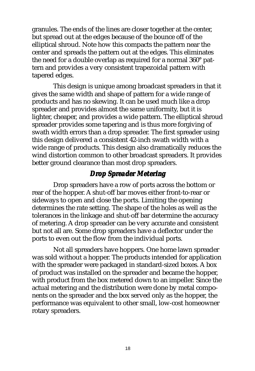granules. The ends of the lines are closer together at the center, but spread out at the edges because of the bounce off of the elliptical shroud. Note how this compacts the pattern near the center and spreads the pattern out at the edges. This eliminates the need for a double overlap as required for a normal 360° pattern and provides a very consistent trapezoidal pattern with tapered edges.

This design is unique among broadcast spreaders in that it gives the same width and shape of pattern for a wide range of products and has no skewing. It can be used much like a drop spreader and provides almost the same uniformity, but it is lighter, cheaper, and provides a wide pattern. The elliptical shroud spreader provides some tapering and is thus more forgiving of swath width errors than a drop spreader. The first spreader using this design delivered a consistent 42-inch swath width with a wide range of products. This design also dramatically reduces the wind distortion common to other broadcast spreaders. It provides better ground clearance than most drop spreaders.

### *Drop Spreader Metering*

Drop spreaders have a row of ports across the bottom or rear of the hopper. A shut-off bar moves either front-to-rear or sideways to open and close the ports. Limiting the opening determines the rate setting. The shape of the holes as well as the tolerances in the linkage and shut-off bar determine the accuracy of metering. A drop spreader can be very accurate and consistent but not all are. Some drop spreaders have a deflector under the ports to even out the flow from the individual ports.

Not all spreaders have hoppers. One home lawn spreader was sold without a hopper. The products intended for application with the spreader were packaged in standard-sized boxes. A box of product was installed on the spreader and became the hopper, with product from the box metered down to an impeller. Since the actual metering and the distribution were done by metal components on the spreader and the box served only as the hopper, the performance was equivalent to other small, low-cost homeowner rotary spreaders.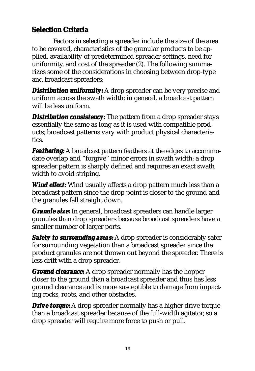# **Selection Criteria**

Factors in selecting a spreader include the size of the area to be covered, characteristics of the granular products to be applied, availability of predetermined spreader settings, need for uniformity, and cost of the spreader (2). The following summarizes some of the considerations in choosing between drop-type and broadcast spreaders:

*Distribution uniformity:* A drop spreader can be very precise and uniform across the swath width; in general, a broadcast pattern will be less uniform.

*Distribution consistency:* The pattern from a drop spreader stays essentially the same as long as it is used with compatible products; broadcast patterns vary with product physical characteristics.

*Feathering:* A broadcast pattern feathers at the edges to accommodate overlap and "forgive" minor errors in swath width; a drop spreader pattern is sharply defined and requires an exact swath width to avoid striping.

**Wind effect:** Wind usually affects a drop pattern much less than a broadcast pattern since the drop point is closer to the ground and the granules fall straight down.

*Granule size: Granule size:* In general, broadcast spreaders can handle larger granules than drop spreaders because broadcast spreaders have a smaller number of larger ports.

*Safety to surrounding areas:* A drop spreader is considerably safer for surrounding vegetation than a broadcast spreader since the product granules are not thrown out beyond the spreader. There is less drift with a drop spreader.

*Ground clearance:* A drop spreader normally has the hopper closer to the ground than a broadcast spreader and thus has less ground clearance and is more susceptible to damage from impacting rocks, roots, and other obstacles.

*Drive torque:* A drop spreader normally has a higher drive torque than a broadcast spreader because of the full-width agitator, so a drop spreader will require more force to push or pull.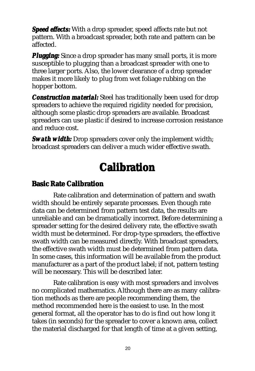**Speed effects:** With a drop spreader, speed affects rate but not pattern. With a broadcast spreader, both rate and pattern can be affected.

*Plugging: Plugging:* Since a drop spreader has many small ports, it is more susceptible to plugging than a broadcast spreader with one to three larger ports. Also, the lower clearance of a drop spreader makes it more likely to plug from wet foliage rubbing on the hopper bottom.

*Construction material: Construction material:* Steel has traditionally been used for drop spreaders to achieve the required rigidity needed for precision, although some plastic drop spreaders are available. Broadcast spreaders can use plastic if desired to increase corrosion resistance and reduce cost.

**Swath width:** Drop spreaders cover only the implement width; broadcast spreaders can deliver a much wider effective swath.

# **Calibration**

## **Basic Rate Calibration**

Rate calibration and determination of pattern and swath width should be entirely separate processes. Even though rate data can be determined from pattern test data, the results are unreliable and can be dramatically incorrect. Before determining a spreader setting for the desired delivery rate, the effective swath width must be determined. For drop-type spreaders, the effective swath width can be measured directly. With broadcast spreaders, the effective swath width must be determined from pattern data. In some cases, this information will be available from the product manufacturer as a part of the product label; if not, pattern testing will be necessary. This will be described later.

Rate calibration is easy with most spreaders and involves no complicated mathematics. Although there are as many calibration methods as there are people recommending them, the method recommended here is the easiest to use. In the most general format, all the operator has to do is find out how long it takes (in seconds) for the spreader to cover a known area, collect the material discharged for that length of time at a given setting,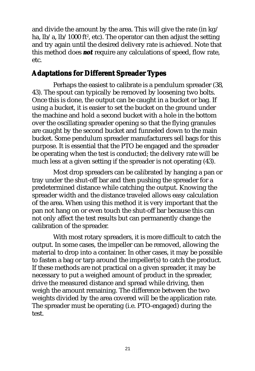and divide the amount by the area. This will give the rate (in kg/ ha, lb/a, lb/1000 ft², etc). The operator can then adjust the setting and try again until the desired delivery rate is achieved. Note that this method does *not* require any calculations of speed, flow rate, etc.

### **Adaptations for Dif Different Spreader Types**

Perhaps the easiest to calibrate is a pendulum spreader (38, 43). The spout can typically be removed by loosening two bolts. Once this is done, the output can be caught in a bucket or bag. If using a bucket, it is easier to set the bucket on the ground under the machine and hold a second bucket with a hole in the bottom over the oscillating spreader opening so that the flying granules are caught by the second bucket and funneled down to the main bucket. Some pendulum spreader manufacturers sell bags for this purpose. It is essential that the PTO be engaged and the spreader be operating when the test is conducted; the delivery rate will be much less at a given setting if the spreader is not operating (43).

Most drop spreaders can be calibrated by hanging a pan or tray under the shut-off bar and then pushing the spreader for a predetermined distance while catching the output. Knowing the spreader width and the distance traveled allows easy calculation of the area. When using this method it is very important that the pan not hang on or even touch the shut-off bar because this can not only affect the test results but can permanently change the calibration of the spreader.

With most rotary spreaders, it is more difficult to catch the output. In some cases, the impeller can be removed, allowing the material to drop into a container. In other cases, it may be possible to fasten a bag or tarp around the impeller(s) to catch the product. If these methods are not practical on a given spreader, it may be necessary to put a weighed amount of product in the spreader, drive the measured distance and spread while driving, then weigh the amount remaining. The difference between the two weights divided by the area covered will be the application rate. The spreader must be operating (i.e. PTO-engaged) during the test.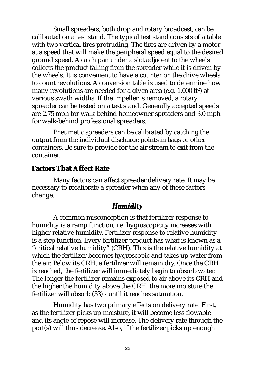Small spreaders, both drop and rotary broadcast, can be calibrated on a test stand. The typical test stand consists of a table with two vertical tires protruding. The tires are driven by a motor at a speed that will make the peripheral speed equal to the desired ground speed. A catch pan under a slot adjacent to the wheels collects the product falling from the spreader while it is driven by the wheels. It is convenient to have a counter on the drive wheels to count revolutions. A conversion table is used to determine how many revolutions are needed for a given area (e.g. 1,000 ft²) at various swath widths. If the impeller is removed, a rotary spreader can be tested on a test stand. Generally accepted speeds are 2.75 mph for walk-behind homeowner spreaders and 3.0 mph for walk-behind professional spreaders.

Pneumatic spreaders can be calibrated by catching the output from the individual discharge points in bags or other containers. Be sure to provide for the air stream to exit from the container.

### **Factors That Affect Rate**

Many factors can affect spreader delivery rate. It may be necessary to recalibrate a spreader when any of these factors change.

### *Humidity*

A common misconception is that fertilizer response to humidity is a ramp function, i.e. hygroscopicity increases with higher relative humidity. Fertilizer response to relative humidity is a step function. Every fertilizer product has what is known as a "critical relative humidity" (CRH). This is the relative humidity at which the fertilizer becomes hygroscopic and takes up water from the air. Below its CRH, a fertilizer will remain dry. Once the CRH is reached, the fertilizer will immediately begin to absorb water. The longer the fertilizer remains exposed to air above its CRH and the higher the humidity above the CRH, the more moisture the fertilizer will absorb (33) - until it reaches saturation.

Humidity has two primary effects on delivery rate. First, as the fertilizer picks up moisture, it will become less flowable and its angle of repose will increase. The delivery rate through the port(s) will thus decrease. Also, if the fertilizer picks up enough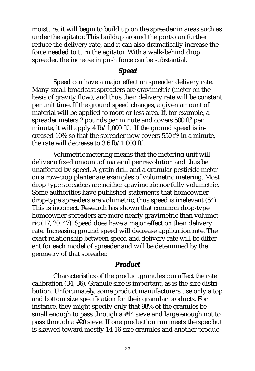moisture, it will begin to build up on the spreader in areas such as under the agitator. This buildup around the ports can further reduce the delivery rate, and it can also dramatically increase the force needed to turn the agitator. With a walk-behind drop spreader, the increase in push force can be substantial.

### *Speed*

Speed can have a major effect on spreader delivery rate. Many small broadcast spreaders are gravimetric (meter on the basis of gravity flow), and thus their delivery rate will be constant per unit time. If the ground speed changes, a given amount of material will be applied to more or less area. If, for example, a spreader meters 2 pounds per minute and covers 500 ft $^{\rm z}$  per minute, it will apply 4 lb/1,000 ft $^{\rm 2}.$  If the ground speed is increased 10% so that the spreader now covers 550 ft $^{\rm z}$  in a minute, the rate will decrease to  $3.6 \; \text{lb}/1,000 \; \text{ft}^2$ .

Volumetric metering means that the metering unit will deliver a fixed amount of material per revolution and thus be unaffected by speed. A grain drill and a granular pesticide meter on a row-crop planter are examples of volumetric metering. Most drop-type spreaders are neither gravimetric nor fully volumetric. Some authorities have published statements that homeowner drop-type spreaders are volumetric, thus speed is irrelevant (54). This is incorrect. Research has shown that common drop-type homeowner spreaders are more nearly gravimetric than volumetric (17, 20, 47). Speed does have a major effect on their delivery rate. Increasing ground speed will decrease application rate. The exact relationship between speed and delivery rate will be different for each model of spreader and will be determined by the geometry of that spreader.

#### *Product*

Characteristics of the product granules can affect the rate calibration (34, 36). Granule size is important, as is the size distribution. Unfortunately, some product manufacturers use only a top and bottom size specification for their granular products. For instance, they might specify only that 98% of the granules be small enough to pass through a #14 sieve and large enough not to pass through a #20 sieve. If one production run meets the spec but is skewed toward mostly 14-16 size granules and another produc-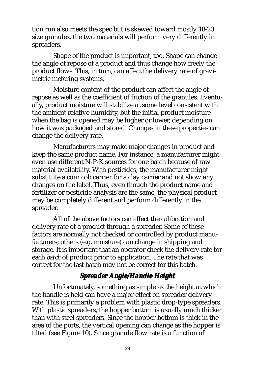tion run also meets the spec but is skewed toward mostly 18-20 size granules, the two materials will perform very differently in spreaders.

Shape of the product is important, too. Shape can change the angle of repose of a product and thus change how freely the product flows. This, in turn, can affect the delivery rate of gravimetric metering systems.

Moisture content of the product can affect the angle of repose as well as the coefficient of friction of the granules. Eventually, product moisture will stabilize at some level consistent with the ambient relative humidity, but the initial product moisture when the bag is opened may be higher or lower, depending on how it was packaged and stored. Changes in these properties can change the delivery rate.

Manufacturers may make major changes in product and keep the same product name. For instance, a manufacturer might even use different N-P-K sources for one batch because of raw material availability. With pesticides, the manufacturer might substitute a corn cob carrier for a clay carrier and not show any changes on the label. Thus, even though the product name and fertilizer or pesticide analysis are the same, the physical product may be completely different and perform differently in the spreader.

All of the above factors can affect the calibration and delivery rate of a product through a spreader. Some of these factors are normally not checked or controlled by product manufacturers; others (e.g. moisture) can change in shipping and storage. It is important that an operator check the delivery rate for each *batch* of product prior to application. The rate that was correct for the last batch may not be correct for this batch.

# *Spreader Angle/Handle Height eader Height*

Unfortunately, something as simple as the height at which the handle is held can have a major effect on spreader delivery rate. This is primarily a problem with plastic drop-type spreaders. With plastic spreaders, the hopper bottom is usually much thicker than with steel spreaders. Since the hopper bottom is thick in the area of the ports, the vertical opening can change as the hopper is tilted (see Figure 10). Since granule flow rate is a function of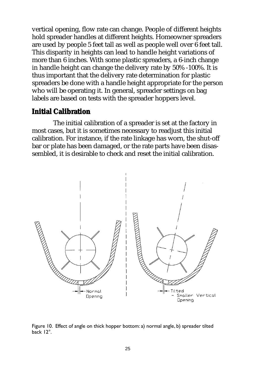vertical opening, flow rate can change. People of different heights hold spreader handles at different heights. Homeowner spreaders are used by people 5 feet tall as well as people well over 6 feet tall. This disparity in heights can lead to handle height variations of more than 6 inches. With some plastic spreaders, a 6-inch change in handle height can change the delivery rate by 50% -100%. It is thus important that the delivery rate determination for plastic spreaders be done with a handle height appropriate for the person who will be operating it. In general, spreader settings on bag labels are based on tests with the spreader hoppers level.

#### **Initial Calibration**

The initial calibration of a spreader is set at the factory in most cases, but it is sometimes necessary to readjust this initial calibration. For instance, if the rate linkage has worn, the shut-off bar or plate has been damaged, or the rate parts have been disassembled, it is desirable to check and reset the initial calibration.



Figure 10. Effect of angle on thick hopper bottom: a) normal angle, b) spreader tilted back 12°.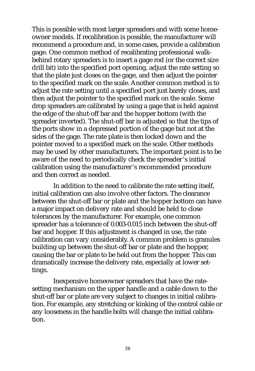This is possible with most larger spreaders and with some homeowner models. If recalibration is possible, the manufacturer will recommend a procedure and, in some cases, provide a calibration gage. One common method of recalibrating professional walkbehind rotary spreaders is to insert a gage rod (or the correct size drill bit) into the specified port opening, adjust the rate setting so that the plate just closes on the gage, and then adjust the pointer to the specified mark on the scale. Another common method is to adjust the rate setting until a specified port just barely closes, and then adjust the pointer to the specified mark on the scale. Some drop spreaders are calibrated by using a gage that is held against the edge of the shut-off bar and the hopper bottom (with the spreader inverted). The shut-off bar is adjusted so that the tips of the ports show in a depressed portion of the gage but not at the sides of the gage. The rate plate is then locked down and the pointer moved to a specified mark on the scale. Other methods may be used by other manufacturers. The important point is to be aware of the need to periodically check the spreader's initial calibration using the manufacturer's recommended procedure and then correct as needed.

In addition to the need to calibrate the rate setting itself, initial calibration can also involve other factors. The clearance between the shut-off bar or plate and the hopper bottom can have a major impact on delivery rate and should be held to close tolerances by the manufacturer. For example, one common spreader has a tolerance of 0.003-0.015 inch between the shut-off bar and hopper. If this adjustment is changed in use, the rate calibration can vary considerably. A common problem is granules building up between the shut-off bar or plate and the hopper, causing the bar or plate to be held out from the hopper. This can dramatically increase the delivery rate, especially at lower settings.

Inexpensive homeowner spreaders that have the ratesetting mechanism on the upper handle and a cable down to the shut-off bar or plate are very subject to changes in initial calibration. For example, any stretching or kinking of the control cable or any looseness in the handle bolts will change the initial calibration.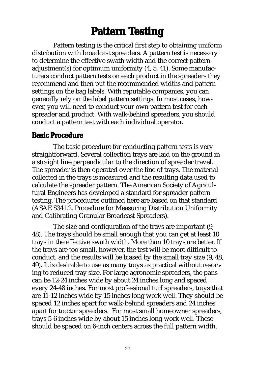# **Pattern Testing**

Pattern testing is the critical first step to obtaining uniform distribution with broadcast spreaders. A pattern test is necessary to determine the effective swath width and the correct pattern adjustment(s) for optimum uniformity (4, 5, 41). Some manufacturers conduct pattern tests on each product in the spreaders they recommend and then put the recommended widths and pattern settings on the bag labels. With reputable companies, you can generally rely on the label pattern settings. In most cases, however, you will need to conduct your own pattern test for each spreader and product. With walk-behind spreaders, you should conduct a pattern test with each individual operator.

#### **Basic Procedure**

The basic procedure for conducting pattern tests is very straightforward. Several collection trays are laid on the ground in a straight line perpendicular to the direction of spreader travel. The spreader is then operated over the line of trays. The material collected in the trays is measured and the resulting data used to calculate the spreader pattern. The American Society of Agricultural Engineers has developed a standard for spreader pattern testing. The procedures outlined here are based on that standard (ASAE S341.2, Procedure for Measuring Distribution Uniformity and Calibrating Granular Broadcast Spreaders).

The size and configuration of the trays are important (9, 48). The trays should be small enough that you can get at least 10 trays in the effective swath width. More than 10 trays are better. If the trays are too small, however, the test will be more difficult to conduct, and the results will be biased by the small tray size (9, 48, 49). It is desirable to use as many trays as practical without resorting to reduced tray size. For large agronomic spreaders, the pans can be 12-24 inches wide by about 24 inches long and spaced every 24-48 inches. For most professional turf spreaders, trays that are 11-12 inches wide by 15 inches long work well. They should be spaced 12 inches apart for walk-behind spreaders and 24 inches apart for tractor spreaders. For most small homeowner spreaders, trays 5-6 inches wide by about 15 inches long work well. These should be spaced on 6-inch centers across the full pattern width.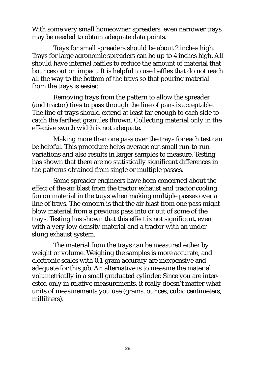With some very small homeowner spreaders, even narrower trays may be needed to obtain adequate data points.

Trays for small spreaders should be about 2 inches high. Trays for large agronomic spreaders can be up to 4 inches high. All should have internal baffles to reduce the amount of material that bounces out on impact. It is helpful to use baffles that do not reach all the way to the bottom of the trays so that pouring material from the trays is easier.

Removing trays from the pattern to allow the spreader (and tractor) tires to pass through the line of pans is acceptable. The line of trays should extend at least far enough to each side to catch the farthest granules thrown. Collecting material only in the effective swath width is not adequate.

Making more than one pass over the trays for each test can be helpful. This procedure helps average out small run-to-run variations and also results in larger samples to measure. Testing has shown that there are no statistically significant differences in the patterns obtained from single or multiple passes.

Some spreader engineers have been concerned about the effect of the air blast from the tractor exhaust and tractor cooling fan on material in the trays when making multiple passes over a line of trays. The concern is that the air blast from one pass might blow material from a previous pass into or out of some of the trays. Testing has shown that this effect is not significant, even with a very low density material and a tractor with an underslung exhaust system.

The material from the trays can be measured either by weight or volume. Weighing the samples is more accurate, and electronic scales with 0.1-gram accuracy are inexpensive and adequate for this job. An alternative is to measure the material volumetrically in a small graduated cylinder. Since you are interested only in relative measurements, it really doesn't matter what units of measurements you use (grams, ounces, cubic centimeters, milliliters).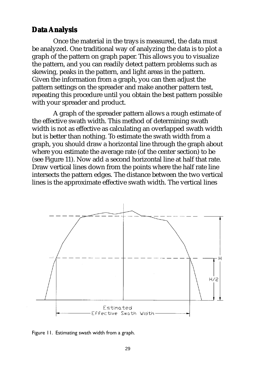#### **Data Analysis**

Once the material in the trays is measured, the data must be analyzed. One traditional way of analyzing the data is to plot a graph of the pattern on graph paper. This allows you to visualize the pattern, and you can readily detect pattern problems such as skewing, peaks in the pattern, and light areas in the pattern. Given the information from a graph, you can then adjust the pattern settings on the spreader and make another pattern test, repeating this procedure until you obtain the best pattern possible with your spreader and product.

A graph of the spreader pattern allows a rough estimate of the effective swath width. This method of determining swath width is not as effective as calculating an overlapped swath width but is better than nothing. To estimate the swath width from a graph, you should draw a horizontal line through the graph about where you estimate the average rate (of the center section) to be (see Figure 11). Now add a second horizontal line at half that rate. Draw vertical lines down from the points where the half rate line intersects the pattern edges. The distance between the two vertical lines is the approximate effective swath width. The vertical lines



Figure 11. Estimating swath width from a graph.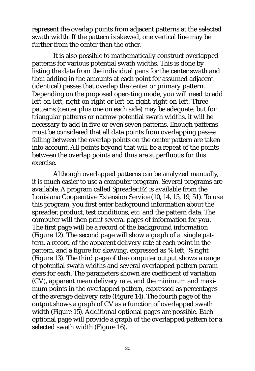represent the overlap points from adjacent patterns at the selected swath width. If the pattern is skewed, one vertical line may be further from the center than the other.

It is also possible to mathematically construct overlapped patterns for various potential swath widths. This is done by listing the data from the individual pans for the center swath and then adding in the amounts at each point for assumed adjacent (identical) passes that overlap the center or primary pattern. Depending on the proposed operating mode, you will need to add left-on-left, right-on-right or left-on-right, right-on-left. Three patterns (center plus one on each side) may be adequate, but for triangular patterns or narrow potential swath widths, it will be necessary to add in five or even seven patterns. Enough patterns must be considered that all data points from overlapping passes falling between the overlap points on the center pattern are taken into account. All points beyond that will be a repeat of the points between the overlap points and thus are superfluous for this exercise.

Although overlapped patterns can be analyzed manually, it is much easier to use a computer program. Several programs are available. A program called Spreader.EZ is available from the Louisiana Cooperative Extension Service (10, 14, 15, 19, 51). To use this program, you first enter background information about the spreader, product, test conditions, etc. and the pattern data. The computer will then print several pages of information for you. The first page will be a record of the background information (Figure 12). The second page will show a graph of a single pattern, a record of the apparent delivery rate at each point in the pattern, and a figure for skewing, expressed as % left, % right (Figure 13). The third page of the computer output shows a range of potential swath widths and several overlapped pattern parameters for each. The parameters shown are coefficient of variation (CV), apparent mean delivery rate, and the minimum and maximum points in the overlapped pattern, expressed as percentages of the average delivery rate (Figure 14). The fourth page of the output shows a graph of CV as a function of overlapped swath width (Figure 15). Additional optional pages are possible. Each optional page will provide a graph of the overlapped pattern for a selected swath width (Figure 16).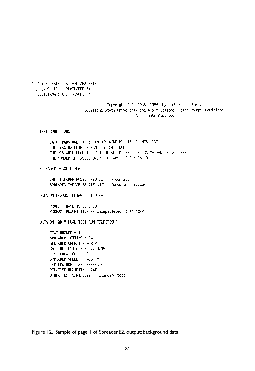ROTARY SPREADER PATTERN ANALYSIS SPREADER.EZ -- DEVELOPED BY LOUISIANA STATE UNIVERSITY

> Copyright (c), 1986, 1988, by Richard L. Parish Louisiana State University and A & M College. Baton Rouge, Louisiana All mights reserved

TEST CONDITIONS --

CATCH PANS ARE 11.5 INCHES WIDE BY 15 INCHES LONG THE SPACING BETWEEN PANS IS 24 INCHES THE DISTANCE FROM THE CENTERLINE TO THE OUTER CATCH PAN IS 30 FEET THE NUMBER OF PASSES OVER THE PANS PER RUN IS 3

SPREADER DESCRIPTION --

THE SPREADER MODEL USED IS -- Vicon 203 SPREADER VARIABLES (IF ANY) --Pendulum spreader

DATA ON PRODUCT BEING TESTED --

PRODUCT NAME IS 20-2-10 PRODUCT DESCRIPTION -- Encapsulated fertilizer

DATA ON INDIVIDUAL TEST RUN CONDITIONS --

TEST NUMBER - 1 SPREADER SETTING = 24 SPREADER OPERATOR = RLP DATE OF TEST RUN - 07/19/96 TEST LOCATION = FIRS SPREADER SPEED - 4.5 MPH TEMPERATURE = 88 DEGREES F RELATIVE HUMIDITY - 74% OTHER TEST VARIABLES -- Standard test

Figure 12. Sample of page 1 of Spreader.EZ output: background data.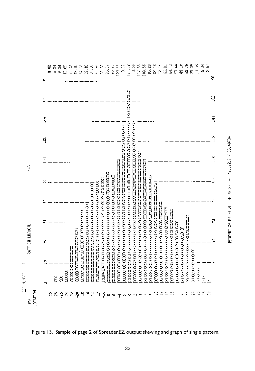|                       |         | 을   | 9.00 | ్లె | ्<br>द | 10.69         | 22.57      | 48.10                             | 54.13                                             | 69.48 | 88.138 | 90.96 | 95 E | 95.Z) | es<br>Se | 139.EE | O.C                                                                               | IT2                                                                                                            | $\frac{3}{2}$ | 107.58                                                                                                         | 109.56                                                                                                          | 96.20 | 88.18 | 72.25                                                                                                                  | 55.81                                       | $\frac{13}{34}$ | ी<br>इ                    | $\frac{18}{2}$ | e<br>S                                    | 29.39            | $\frac{33}{13}$ | 쯵 | S,<br>Ń |
|-----------------------|---------|-----|------|-----|--------|---------------|------------|-----------------------------------|---------------------------------------------------|-------|--------|-------|------|-------|----------|--------|-----------------------------------------------------------------------------------|----------------------------------------------------------------------------------------------------------------|---------------|----------------------------------------------------------------------------------------------------------------|-----------------------------------------------------------------------------------------------------------------|-------|-------|------------------------------------------------------------------------------------------------------------------------|---------------------------------------------|-----------------|---------------------------|----------------|-------------------------------------------|------------------|-----------------|---|---------|
|                       |         | 152 |      |     |        |               |            |                                   |                                                   |       |        |       |      |       |          |        |                                                                                   |                                                                                                                |               |                                                                                                                |                                                                                                                 |       |       |                                                                                                                        |                                             |                 |                           |                |                                           |                  |                 |   |         |
|                       |         | Ë   |      |     |        |               |            |                                   |                                                   |       |        |       |      |       |          |        |                                                                                   |                                                                                                                |               |                                                                                                                |                                                                                                                 |       |       |                                                                                                                        |                                             |                 |                           |                |                                           |                  |                 |   |         |
|                       |         | ž   |      |     |        |               |            |                                   |                                                   |       |        |       |      |       |          |        |                                                                                   |                                                                                                                |               |                                                                                                                |                                                                                                                 |       |       |                                                                                                                        |                                             |                 |                           |                |                                           |                  |                 |   |         |
| 诱                     |         | Ê   |      |     |        |               |            |                                   |                                                   |       |        |       |      |       |          |        |                                                                                   |                                                                                                                |               |                                                                                                                |                                                                                                                 |       |       |                                                                                                                        |                                             |                 |                           |                |                                           |                  |                 |   |         |
|                       |         |     |      |     |        |               |            |                                   |                                                   |       |        |       |      |       |          |        |                                                                                   |                                                                                                                |               |                                                                                                                |                                                                                                                 |       |       |                                                                                                                        |                                             |                 |                           |                |                                           |                  |                 |   |         |
|                       |         | 엂   |      |     |        |               |            |                                   |                                                   |       |        |       |      |       |          |        |                                                                                   |                                                                                                                |               |                                                                                                                |                                                                                                                 |       |       |                                                                                                                        |                                             |                 |                           |                |                                           |                  |                 |   |         |
|                       |         | π.  |      |     |        |               |            |                                   |                                                   |       |        |       |      |       |          |        |                                                                                   |                                                                                                                |               |                                                                                                                |                                                                                                                 |       |       |                                                                                                                        |                                             |                 |                           |                |                                           |                  |                 |   |         |
| <b>BATE IN LBACHE</b> |         | 뚊   |      |     |        |               |            |                                   |                                                   |       |        |       |      |       |          |        |                                                                                   |                                                                                                                |               |                                                                                                                |                                                                                                                 |       |       |                                                                                                                        |                                             |                 |                           |                |                                           |                  |                 |   |         |
| I                     |         |     |      |     |        |               | CANAZZANYA | <b>KKXXXXXXXXXXXXXXXXXXXXXXXX</b> | <b>CARRA REPORT AN ANGELES ANG MANASAN SISTEM</b> |       |        |       |      |       |          |        | XEN NA KENTEN YEN KA KA KE KENTEN YANAN KA KENA KA KENTEN YEN KA KE KE KE KENTEN. | EEN STAKKEN EEN STEN AAKTEKEN EN ALTEREN KONGENERIK OOK DE TAAL HET DE STAKEN OOK DE DE DE DE DE DE DE DE DE D |               | KENNING KANG KENGGANG TERSEKALAN DI PERSEKAN KENGGANG KANG KENGGANG KENGGANG KENGGANG KENGGANG KENGGANG KENGGA | EESTA SAARE KENNEN VALMAN VALMAN VALMAN KENNEN VALMAN VALMAN VALMAN VALMAN VALMAN VALMAN VALMAN VALMAN VALMAN V |       |       | <b>EXECUTE AN ANTENDE SE DE L'ANGERIE DE L'ANGERIE DE L'ANGERIE DE L'ANGERIE DE L'ANGERIE DE L'ANGERIE DE L'ANGERI</b> | <b>TANKAN YANKAN KANAN YANKAN KANAN KAN</b> |                 |                           |                | A SEN SEN KENNEN KENNEN KENNEN KENNEN KEN | XXXXXXXXXXXXXXXX |                 |   |         |
| <b>WASER</b>          |         |     |      | Š   | Š      | <b>CONSOL</b> |            |                                   |                                                   |       |        |       |      |       |          |        |                                                                                   |                                                                                                                |               |                                                                                                                |                                                                                                                 |       |       |                                                                                                                        |                                             |                 |                           |                |                                           |                  | a a a           | ă |         |
| g<br>葐                | DONT ON |     |      |     |        |               |            | <b>SKSZRRAFFINNIA44000400</b>     |                                                   |       |        |       |      |       |          |        |                                                                                   |                                                                                                                |               |                                                                                                                |                                                                                                                 |       | 昌     | ≌                                                                                                                      | 4                                           | ٩.              | $\widetilde{\mathcal{C}}$ |                | នីន                                       | ನ                | 碧               |   |         |

PERCFNT OF MAIL: RETURNER THE 49 US\$2.7 / 50 / 49784

Figure 13. Sample of page 2 of Spreader.EZ output: skewing and graph of single pattern.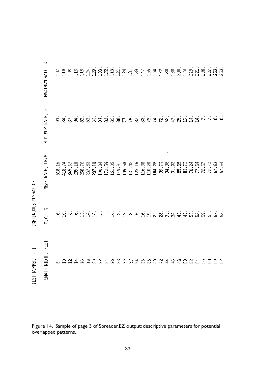|                                           | ðŚ<br>MAXIMUM RATH,   |       |  |  |  |  |  |  |  |  |  |  |  |  | SESBER RABBERBER SARRA SARRA                                                    |  |
|-------------------------------------------|-----------------------|-------|--|--|--|--|--|--|--|--|--|--|--|--|---------------------------------------------------------------------------------|--|
|                                           | òс<br>MENTPUM RATE.   | $\Xi$ |  |  |  |  |  |  |  |  |  |  |  |  | 机屏积的 网络网络哈尔瓦尔 网络马瓦尔尼亚 法法律法律 不可自                                                 |  |
|                                           | LB/A<br>RATE.<br>MEAK |       |  |  |  |  |  |  |  |  |  |  |  |  | 出力では天然は私はあるとはないは、それをあるためはない。<br>おはなのだと思いないと思います。 おところ おおおお あるだけ ないはない           |  |
| CONTINUOUS OPERATION                      | جرح<br>C.V.J          |       |  |  |  |  |  |  |  |  |  |  |  |  | 6.乳豆医乳糖医胆汁试验试验试验 医双路见器 机机轨轮轮机 网络                                                |  |
| $\overline{\phantom{0}}$<br>TEST NUMBER - | 다<br>SWATH WIDTH.     |       |  |  |  |  |  |  |  |  |  |  |  |  | 8 1 1 1 1 1 1 1 1 1 2 3 3 4 3 6 3 6 4 5 6 7 8 7 8 7 8 7 8 7 8 7 8 7 8 8 8 8 8 7 |  |

Figure 14. Sample of page 3 of Spreader.EZ output: descriptive parameters for potential overlapped patterns.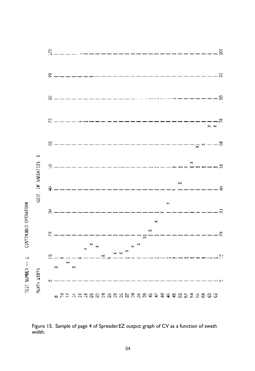

Figure 15. Sample of page 4 of Spreader.EZ output: graph of CV as a function of swath width.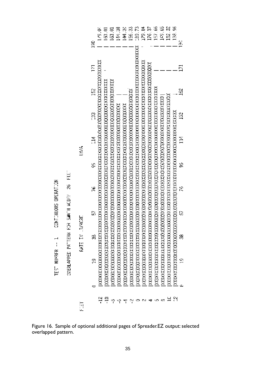CONT: NUOUS OPERATION TEST NUMBER -- 1  $\overline{\text{E}}$ DIERLAPPED PATTERN FOR SANTH MIDER 26

|               |              | 179.04 | 153. O | 163.01 | 144.30 | 33<br>크 | 156.33 | rs<br>S | a<br>S | I76.37 | 157.66 | 149.65 | 152.32 | 132.96 | å. |
|---------------|--------------|--------|--------|--------|--------|---------|--------|---------|--------|--------|--------|--------|--------|--------|----|
|               | S            |        |        |        |        |         |        |         |        |        |        |        |        |        |    |
|               | Ε            |        |        |        |        |         |        |         |        |        |        |        |        |        | Ē  |
|               | $\mathbb{B}$ |        |        |        |        |         |        |         |        |        |        |        |        |        | Š, |
|               | R            |        |        |        |        |         |        |         |        |        |        |        |        |        | S  |
| ίU.           | ă            |        |        |        |        |         |        |         |        |        |        |        |        |        | Ξ  |
|               | Ş            |        |        |        |        |         |        |         |        |        |        |        |        |        | g  |
|               | ۴            |        |        |        |        |         |        |         |        |        |        |        |        |        | g  |
|               | Ġ            |        |        |        |        |         |        |         |        |        |        |        |        |        | ß  |
| BATE DA BACKE |              |        |        |        |        |         |        |         |        |        |        |        |        |        | F  |
|               | g            |        |        |        |        |         |        |         |        |        |        |        |        |        | ġ  |
|               |              |        |        |        |        |         |        |         |        |        |        |        |        |        |    |
|               |              | ុ      | Ę      | က္     | P      |         |        |         |        |        |        | 60     | Ĺ      | N      |    |

Figure 16. Sample of optional additional pages of Spreader.EZ output: selected overlapped pattern.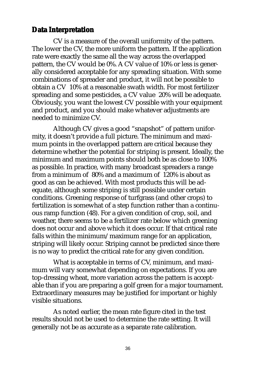### **Data Interpretation**

CV is a measure of the overall uniformity of the pattern. The lower the CV, the more uniform the pattern. If the application rate were exactly the same all the way across the overlapped pattern, the CV would be 0%. A CV value of 10% or less is generally considered acceptable for any spreading situation. With some combinations of spreader and product, it will not be possible to obtain a CV 10% at a reasonable swath width. For most fertilizer spreading and some pesticides, a CV value 20% will be adequate. Obviously, you want the lowest CV possible with your equipment and product, and you should make whatever adjustments are needed to minimize CV.

Although CV gives a good "snapshot" of pattern uniformity, it doesn't provide a full picture. The minimum and maximum points in the overlapped pattern are critical because they determine whether the potential for striping is present. Ideally, the minimum and maximum points should both be as close to 100% as possible. In practice, with many broadcast spreaders a range from a minimum of 80% and a maximum of 120% is about as good as can be achieved. With most products this will be adequate, although some striping is still possible under certain conditions. Greening response of turfgrass (and other crops) to fertilization is somewhat of a step function rather than a continuous ramp function (48). For a given condition of crop, soil, and weather, there seems to be a fertilizer rate below which greening does not occur and above which it does occur. If that critical rate falls within the minimum/maximum range for an application, striping will likely occur. Striping cannot be predicted since there is no way to predict the critical rate for any given condition.

What is acceptable in terms of CV, minimum, and maximum will vary somewhat depending on expectations. If you are top-dressing wheat, more variation across the pattern is acceptable than if you are preparing a golf green for a major tournament. Extraordinary measures may be justified for important or highly visible situations.

As noted earlier, the mean rate figure cited in the test results should not be used to determine the rate setting. It will generally not be as accurate as a separate rate calibration.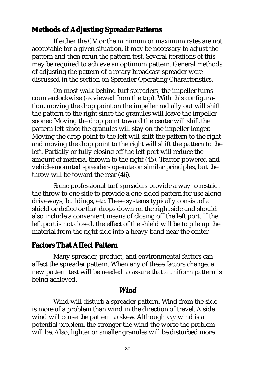### **Methods of Adjusting Spreader Patterns**

If either the CV or the minimum or maximum rates are not acceptable for a given situation, it may be necessary to adjust the pattern and then rerun the pattern test. Several iterations of this may be required to achieve an optimum pattern. General methods of adjusting the pattern of a rotary broadcast spreader were discussed in the section on Spreader Operating Characteristics.

On most walk-behind turf spreaders, the impeller turns counterclockwise (as viewed from the top). With this configuration, moving the drop point on the impeller radially out will shift the pattern to the right since the granules will leave the impeller sooner. Moving the drop point toward the center will shift the pattern left since the granules will stay on the impeller longer. Moving the drop point to the left will shift the pattern to the right, and moving the drop point to the right will shift the pattern to the left. Partially or fully closing off the left port will reduce the amount of material thrown to the right (45). Tractor-powered and vehicle-mounted spreaders operate on similar principles, but the throw will be toward the rear (46).

Some professional turf spreaders provide a way to restrict the throw to one side to provide a one-sided pattern for use along driveways, buildings, etc. These systems typically consist of a shield or deflector that drops down on the right side and should also include a convenient means of closing off the left port. If the left port is not closed, the effect of the shield will be to pile up the material from the right side into a heavy band near the center.

### **Factors That Affect Pattern**

Many spreader, product, and environmental factors can affect the spreader pattern. When any of these factors change, a new pattern test will be needed to assure that a uniform pattern is being achieved.

#### *Wind*

Wind will disturb a spreader pattern. Wind from the side is more of a problem than wind in the direction of travel. A side wind will cause the pattern to skew. Although *any* wind is a potential problem, the stronger the wind the worse the problem will be. Also, lighter or smaller granules will be disturbed more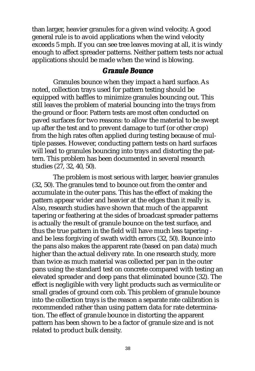than larger, heavier granules for a given wind velocity. A good general rule is to avoid applications when the wind velocity exceeds 5 mph. If you can see tree leaves moving at all, it is windy enough to affect spreader patterns. Neither pattern tests nor actual applications should be made when the wind is blowing.

#### *Granule Bounce*

Granules bounce when they impact a hard surface. As noted, collection trays used for pattern testing should be equipped with baffles to minimize granules bouncing out. This still leaves the problem of material bouncing into the trays from the ground or floor. Pattern tests are most often conducted on paved surfaces for two reasons: to allow the material to be swept up after the test and to prevent damage to turf (or other crop) from the high rates often applied during testing because of multiple passes. However, conducting pattern tests on hard surfaces will lead to granules bouncing into trays and distorting the pattern. This problem has been documented in several research studies (27, 32, 40, 50).

The problem is most serious with larger, heavier granules (32, 50). The granules tend to bounce out from the center and accumulate in the outer pans. This has the effect of making the pattern appear wider and heavier at the edges than it really is. Also, research studies have shown that much of the apparent tapering or feathering at the sides of broadcast spreader patterns is actually the result of granule bounce on the test surface, and thus the true pattern in the field will have much less tapering and be less forgiving of swath width errors (32, 50). Bounce into the pans also makes the apparent rate (based on pan data) much higher than the actual delivery rate. In one research study, more than twice as much material was collected per pan in the outer pans using the standard test on concrete compared with testing an elevated spreader and deep pans that eliminated bounce (32). The effect is negligible with very light products such as vermiculite or small grades of ground corn cob. This problem of granule bounce into the collection trays is the reason a separate rate calibration is recommended rather than using pattern data for rate determination. The effect of granule bounce in distorting the apparent pattern has been shown to be a factor of granule size and is not related to product bulk density.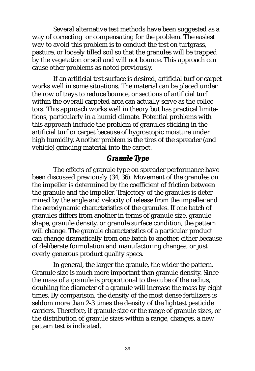Several alternative test methods have been suggested as a way of correcting or compensating for the problem. The easiest way to avoid this problem is to conduct the test on turfgrass, pasture, or loosely tilled soil so that the granules will be trapped by the vegetation or soil and will not bounce. This approach can cause other problems as noted previously.

If an artificial test surface is desired, artificial turf or carpet works well in some situations. The material can be placed under the row of trays to reduce bounce, or sections of artificial turf within the overall carpeted area can actually serve as the collectors. This approach works well in theory but has practical limitations, particularly in a humid climate. Potential problems with this approach include the problem of granules sticking in the artificial turf or carpet because of hygroscopic moisture under high humidity. Another problem is the tires of the spreader (and vehicle) grinding material into the carpet.

### *Granule Type*

The effects of granule type on spreader performance have been discussed previously (34, 36). Movement of the granules on the impeller is determined by the coefficient of friction between the granule and the impeller. Trajectory of the granules is determined by the angle and velocity of release from the impeller and the aerodynamic characteristics of the granules. If one batch of granules differs from another in terms of granule size, granule shape, granule density, or granule surface condition, the pattern will change. The granule characteristics of a particular product can change dramatically from one batch to another, either because of deliberate formulation and manufacturing changes, or just overly generous product quality specs.

In general, the larger the granule, the wider the pattern. Granule size is much more important than granule density. Since the mass of a granule is proportional to the cube of the radius, doubling the diameter of a granule will increase the mass by eight times. By comparison, the density of the most dense fertilizers is seldom more than 2-3 times the density of the lightest pesticide carriers. Therefore, if granule size or the range of granule sizes, or the distribution of granule sizes within a range, changes, a new pattern test is indicated.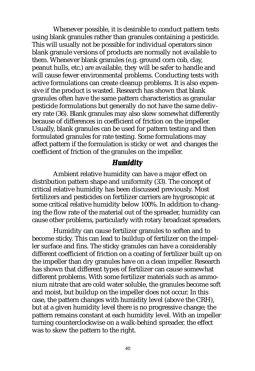Whenever possible, it is desirable to conduct pattern tests using blank granules rather than granules containing a pesticide. This will usually not be possible for individual operators since blank granule versions of products are normally not available to them. Whenever blank granules (e.g. ground corn cob, clay, peanut hulls, etc.) are available, they will be safer to handle and will cause fewer environmental problems. Conducting tests with active formulations can create cleanup problems. It is also expensive if the product is wasted. Research has shown that blank granules often have the same pattern characteristics as granular pesticide formulations but generally do not have the same delivery rate (36). Blank granules may also skew somewhat differently because of differences in coefficient of friction on the impeller. Usually, blank granules can be used for pattern testing and then formulated granules for rate testing. Some formulations may affect pattern if the formulation is sticky or wet and changes the coefficient of friction of the granules on the impeller.

### *Humidity*

Ambient relative humidity can have a major effect on distribution pattern shape and uniformity (33). The concept of critical relative humidity has been discussed previously. Most fertilizers and pesticides on fertilizer carriers are hygroscopic at some critical relative humidity below 100%. In addition to changing the flow rate of the material out of the spreader, humidity can cause other problems, particularly with rotary broadcast spreaders.

Humidity can cause fertilizer granules to soften and to become sticky. This can lead to buildup of fertilizer on the impeller surface and fins. The sticky granules can have a considerably different coefficient of friction on a coating of fertilizer built up on the impeller than dry granules have on a clean impeller. Research has shown that different types of fertilizer can cause somewhat different problems. With some fertilizer materials such as ammonium nitrate that are cold water soluble, the granules become soft and moist, but buildup on the impeller does not occur. In this case, the pattern changes with humidity level (above the CRH), but at a given humidity level there is no progressive change; the pattern remains constant at each humidity level. With an impeller turning counterclockwise on a walk-behind spreader, the effect was to skew the pattern to the right.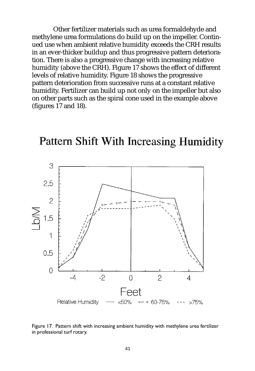Other fertilizer materials such as urea formaldehyde and methylene urea formulations do build up on the impeller. Continued use when ambient relative humidity exceeds the CRH results in an ever-thicker buildup and thus progressive pattern deterioration. There is also a progressive change with increasing relative humidity (above the CRH). Figure 17 shows the effect of different levels of relative humidity. Figure 18 shows the progressive pattern deterioration from successive runs at a constant relative humidity. Fertilizer can build up not only on the impeller but also on other parts such as the spiral cone used in the example above (figures 17 and 18).



# **Pattern Shift With Increasing Humidity**

Figure 17. Pattern shift with increasing ambient humidity with methylene urea fertilizer in professional turf rotary.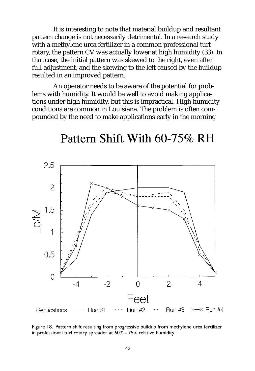It is interesting to note that material buildup and resultant pattern change is not necessarily detrimental. In a research study with a methylene urea fertilizer in a common professional turf rotary, the pattern CV was actually lower at high humidity (33). In that case, the initial pattern was skewed to the right, even after full adjustment, and the skewing to the left caused by the buildup resulted in an improved pattern.

An operator needs to be aware of the potential for problems with humidity. It would be well to avoid making applications under high humidity, but this is impractical. High humidity conditions are common in Louisiana. The problem is often compounded by the need to make applications early in the morning

# Pattern Shift With 60-75% RH



Figure 18. Pattern shift resulting from progressive buildup from methylene urea fertilizer in professional turf rotary spreader at 60% - 75% relative humidity.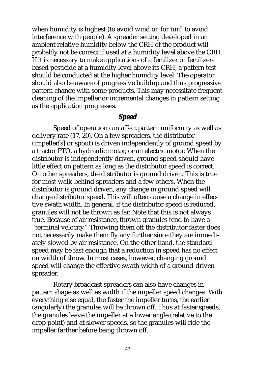when humidity is highest (to avoid wind or, for turf, to avoid interference with people). A spreader setting developed in an ambient relative humidity below the CRH of the product will probably not be correct if used at a humidity level above the CRH. If it is necessary to make applications of a fertilizer or fertilizerbased pesticide at a humidity level above its CRH, a pattern test should be conducted at the higher humidity level. The operator should also be aware of progressive buildup and thus progressive pattern change with some products. This may necessitate frequent cleaning of the impeller or incremental changes in pattern setting as the application progresses.

### *Speed*

Speed of operation can affect pattern uniformity as well as delivery rate (17, 20). On a few spreaders, the distributor (impeller[s] or spout) is driven independently of ground speed by a tractor PTO, a hydraulic motor, or an electric motor. When the distributor is independently driven, ground speed should have little effect on pattern as long as the distributor speed is correct. On other spreaders, the distributor is ground driven. This is true for most walk-behind spreaders and a few others. When the distributor is ground driven, any change in ground speed will change distributor speed. This will often cause a change in effective swath width. In general, if the distributor speed is reduced, granules will not be thrown as far. Note that this is not always true. Because of air resistance, thrown granules tend to have a "terminal velocity." Throwing them off the distributor faster does not necessarily make them fly any further since they are immediately slowed by air resistance. On the other hand, the standard speed may be fast enough that a reduction in speed has no effect on width of throw. In most cases, however, changing ground speed will change the effective swath width of a ground-driven spreader.

Rotary broadcast spreaders can also have changes in pattern shape as well as width if the impeller speed changes. With everything else equal, the faster the impeller turns, the earlier (angularly) the granules will be thrown off. Thus at faster speeds, the granules leave the impeller at a lower angle (relative to the drop point) and at slower speeds, so the granules will ride the impeller farther before being thrown off.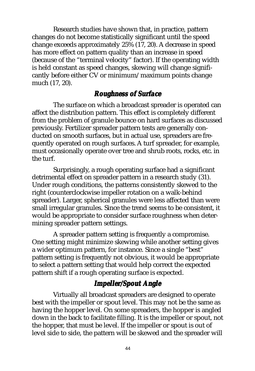Research studies have shown that, in practice, pattern changes do not become statistically significant until the speed change exceeds approximately 25% (17, 20). A decrease in speed has more effect on pattern quality than an increase in speed (because of the "terminal velocity" factor). If the operating width is held constant as speed changes, skewing will change significantly before either CV or minimum/maximum points change much (17, 20).

### *Roughness of Surface*

The surface on which a broadcast spreader is operated can affect the distribution pattern. This effect is completely different from the problem of granule bounce on hard surfaces as discussed previously. Fertilizer spreader pattern tests are generally conducted on smooth surfaces, but in actual use, spreaders are frequently operated on rough surfaces. A turf spreader, for example, must occasionally operate over tree and shrub roots, rocks, etc. in the turf.

Surprisingly, a rough operating surface had a significant detrimental effect on spreader pattern in a research study (31). Under rough conditions, the patterns consistently skewed to the right (counterclockwise impeller rotation on a walk-behind spreader). Larger, spherical granules were less affected than were small irregular granules. Since the trend seems to be consistent, it would be appropriate to consider surface roughness when determining spreader pattern settings.

A spreader pattern setting is frequently a compromise. One setting might minimize skewing while another setting gives a wider optimum pattern, for instance. Since a single "best" pattern setting is frequently not obvious, it would be appropriate to select a pattern setting that would help correct the expected pattern shift if a rough operating surface is expected.

### *Impeller/Spout Angle*

Virtually all broadcast spreaders are designed to operate best with the impeller or spout level. This may not be the same as having the hopper level. On some spreaders, the hopper is angled down in the back to facilitate filling. It is the impeller or spout, not the hopper, that must be level. If the impeller or spout is out of level side to side, the pattern will be skewed and the spreader will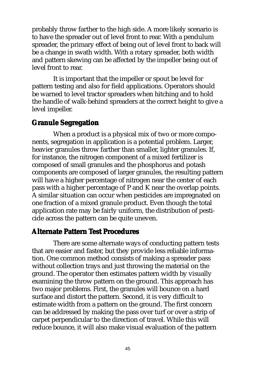probably throw farther to the high side. A more likely scenario is to have the spreader out of level front to rear. With a pendulum spreader, the primary effect of being out of level front to back will be a change in swath width. With a rotary spreader, both width and pattern skewing can be affected by the impeller being out of level front to rear.

It is important that the impeller or spout be level for pattern testing and also for field applications. Operators should be warned to level tractor spreaders when hitching and to hold the handle of walk-behind spreaders at the correct height to give a level impeller.

### **Granule Segregation**

When a product is a physical mix of two or more components, segregation in application is a potential problem. Larger, heavier granules throw farther than smaller, lighter granules. If, for instance, the nitrogen component of a mixed fertilizer is composed of small granules and the phosphorus and potash components are composed of larger granules, the resulting pattern will have a higher percentage of nitrogen near the center of each pass with a higher percentage of P and K near the overlap points. A similar situation can occur when pesticides are impregnated on one fraction of a mixed granule product. Even though the total application rate may be fairly uniform, the distribution of pesticide across the pattern can be quite uneven.

#### **Alternate Pattern Test Procedures**

There are some alternate ways of conducting pattern tests that are easier and faster, but they provide less reliable information. One common method consists of making a spreader pass without collection trays and just throwing the material on the ground. The operator then estimates pattern width by visually examining the throw pattern on the ground. This approach has two major problems. First, the granules will bounce on a hard surface and distort the pattern. Second, it is very difficult to estimate width from a pattern on the ground. The first concern can be addressed by making the pass over turf or over a strip of carpet perpendicular to the direction of travel. While this will reduce bounce, it will also make visual evaluation of the pattern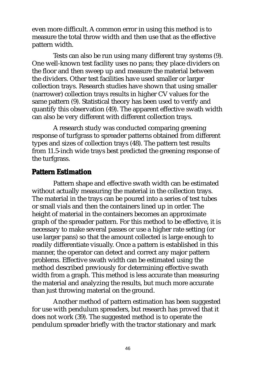even more difficult. A common error in using this method is to measure the total throw width and then use that as the effective pattern width.

Tests can also be run using many different tray systems (9). One well-known test facility uses no pans; they place dividers on the floor and then sweep up and measure the material between the dividers. Other test facilities have used smaller or larger collection trays. Research studies have shown that using smaller (narrower) collection trays results in higher CV values for the same pattern (9). Statistical theory has been used to verify and quantify this observation (49). The apparent effective swath width can also be very different with different collection trays.

A research study was conducted comparing greening response of turfgrass to spreader patterns obtained from different types and sizes of collection trays (48). The pattern test results from 11.5-inch wide trays best predicted the greening response of the turfgrass.

#### **Pattern Estimation**

Pattern shape and effective swath width can be estimated without actually measuring the material in the collection trays. The material in the trays can be poured into a series of test tubes or small vials and then the containers lined up in order. The height of material in the containers becomes an approximate graph of the spreader pattern. For this method to be effective, it is necessary to make several passes or use a higher rate setting (or use larger pans) so that the amount collected is large enough to readily differentiate visually. Once a pattern is established in this manner, the operator can detect and correct any major pattern problems. Effective swath width can be estimated using the method described previously for determining effective swath width from a graph. This method is less accurate than measuring the material and analyzing the results, but much more accurate than just throwing material on the ground.

Another method of pattern estimation has been suggested for use with pendulum spreaders, but research has proved that it does not work (39). The suggested method is to operate the pendulum spreader briefly with the tractor stationary and mark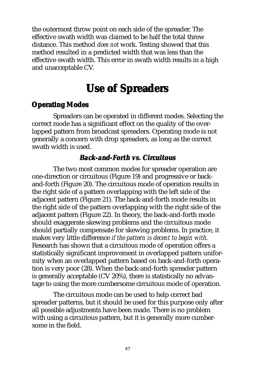the outermost throw point on each side of the spreader. The effective swath width was claimed to be half the total throw distance. This method *does not* work. Testing showed that this method resulted in a predicted width that was less than the effective swath width. This error in swath width results in a high and unacceptable CV.

# **Use of Spreaders Use of Spreaders**

### **Operating Modes**

Spreaders can be operated in different modes. Selecting the correct mode has a significant effect on the quality of the overlapped pattern from broadcast spreaders. Operating mode is not generally a concern with drop spreaders, as long as the correct swath width is used.

### *Back-and-Forth vs. Cir Circuitous*

The two most common modes for spreader operation are one-direction or circuitous (Figure 19) and progressive or backand-forth (Figure 20). The circuitous mode of operation results in the right side of a pattern overlapping with the left side of the adjacent pattern (Figure 21). The back-and-forth mode results in the right side of the pattern overlapping with the right side of the adjacent pattern (Figure 22). In theory, the back-and-forth mode should exaggerate skewing problems and the circuitous mode should partially compensate for skewing problems. In practice, it makes very little difference *if the pattern is decent to begin with*. Research has shown that a circuitous mode of operation offers a statistically significant improvement in overlapped pattern uniformity when an overlapped pattern based on back-and-forth operation is very poor (28). When the back-and-forth spreader pattern is generally acceptable (CV 20%), there is statistically no advantage to using the more cumbersome circuitous mode of operation.

The circuitous mode can be used to help correct bad spreader patterns, but it should be used for this purpose only after all possible adjustments have been made. There is no problem with using a circuitous pattern, but it is generally more cumbersome in the field.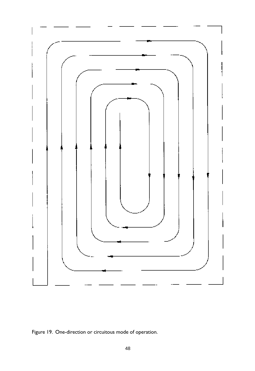

Figure 19. One-direction or circuitous mode of operation.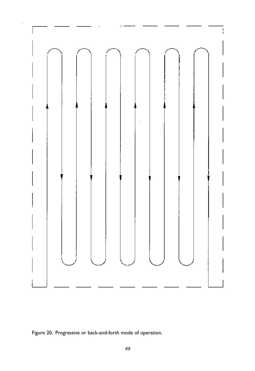

Figure 20. Progressive or back-and-forth mode of operation.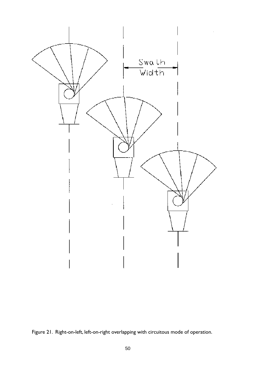

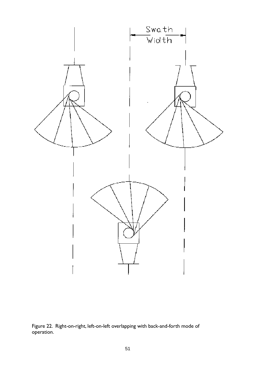

Figure 22. Right-on-right, left-on-left overlapping with back-and-forth mode of operation.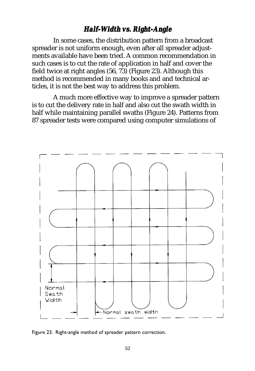# *Half-Width vs. Right-Angle*

In some cases, the distribution pattern from a broadcast spreader is not uniform enough, even after all spreader adjustments available have been tried. A common recommendation in such cases is to cut the rate of application in half and cover the field twice at right angles (56, 73) (Figure 23). Although this method is recommended in many books and and technical articles, it is not the best way to address this problem.

A much more effective way to improve a spreader pattern is to cut the delivery rate in half and also cut the swath width in half while maintaining parallel swaths (Figure 24). Patterns from 87 spreader tests were compared using computer simulations of



Figure 23. Right-angle method of spreader pattern correction.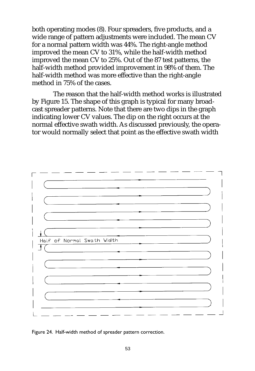both operating modes (8). Four spreaders, five products, and a wide range of pattern adjustments were included. The mean CV for a normal pattern width was 44%. The right-angle method improved the mean CV to 31%, while the half-width method improved the mean CV to 25%. Out of the 87 test patterns, the half-width method provided improvement in 98% of them. The half-width method was more effective than the right-angle method in 75% of the cases.

The reason that the half-width method works is illustrated by Figure 15. The shape of this graph is typical for many broadcast spreader patterns. Note that there are two dips in the graph indicating lower CV values. The dip on the right occurs at the normal effective swath width. As discussed previously, the operator would normally select that point as the effective swath width



Figure 24. Half-width method of spreader pattern correction.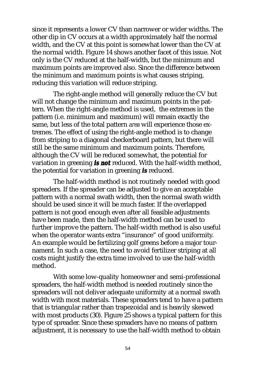since it represents a lower CV than narrower or wider widths. The other dip in CV occurs at a width approximately half the normal width, and the CV at this point is somewhat lower than the CV at the normal width. Figure 14 shows another facet of this issue. Not only is the CV reduced at the half-width, but the minimum and maximum points are improved also. Since the difference between the minimum and maximum points is what causes striping, reducing this variation will reduce striping.

The right-angle method will generally reduce the CV but will not change the minimum and maximum points in the pattern. When the right-angle method is used, the extremes in the pattern (i.e. minimum and maximum) will remain exactly the same, but less of the total pattern *area* will experience those extremes. The effect of using the right-angle method is to change from striping to a diagonal checkerboard pattern, but there will still be the same minimum and maximum points. Therefore, although the CV will be reduced somewhat, the potential for variation in greening *is not* reduced. With the half-width method, the potential for variation in greening *is* reduced.

The half-width method is not routinely needed with good spreaders. If the spreader can be adjusted to give an acceptable pattern with a normal swath width, then the normal swath width should be used since it will be much faster. If the overlapped pattern is not good enough even after all feasible adjustments have been made, then the half-width method can be used to further improve the pattern. The half-width method is also useful when the operator wants extra "insurance" of good uniformity. An example would be fertilizing golf greens before a major tournament. In such a case, the need to avoid fertilizer striping at all costs might justify the extra time involved to use the half-width method.

With some low-quality homeowner and semi-professional spreaders, the half-width method is needed routinely since the spreaders will not deliver adequate uniformity at a normal swath width with most materials. These spreaders tend to have a pattern that is triangular rather than trapezoidal and is heavily skewed with most products (30). Figure 25 shows a typical pattern for this type of spreader. Since these spreaders have no means of pattern adjustment, it is necessary to use the half-width method to obtain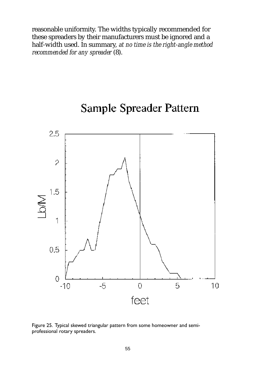reasonable uniformity. The widths typically recommended for these spreaders by their manufacturers must be ignored and a half-width used. In summary, *at no time is the right-angle method recommended for any spreader* (8).

# 2.5  $\overline{\gamma}$ 1.5 MQ 1  $0.5$  $\overline{O}$  $-5$  $\overline{O}$ 5  $10$  $-10$ feet

# Sample Spreader Pattern

Figure 25. Typical skewed triangular pattern from some homeowner and semiprofessional rotary spreaders.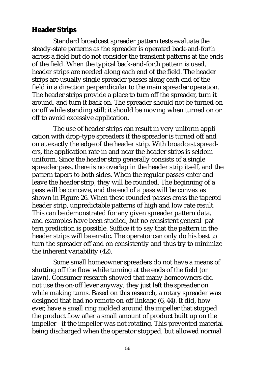### **Header Strips**

Standard broadcast spreader pattern tests evaluate the steady-state patterns as the spreader is operated back-and-forth across a field but do not consider the transient patterns at the ends of the field. When the typical back-and-forth pattern is used, header strips are needed along each end of the field. The header strips are usually single spreader passes along each end of the field in a direction perpendicular to the main spreader operation. The header strips provide a place to turn off the spreader, turn it around, and turn it back on. The spreader should not be turned on or off while standing still; it should be moving when turned on or off to avoid excessive application.

The use of header strips can result in very uniform application with drop-type spreaders if the spreader is turned off and on at exactly the edge of the header strip. With broadcast spreaders, the application rate in and near the header strips is seldom uniform. Since the header strip generally consists of a single spreader pass, there is no overlap in the header strip itself, and the pattern tapers to both sides. When the regular passes enter and leave the header strip, they will be rounded. The beginning of a pass will be concave, and the end of a pass will be convex as shown in Figure 26. When these rounded passes cross the tapered header strip, unpredictable patterns of high and low rate result. This can be demonstrated for any given spreader pattern data, and examples have been studied, but no consistent general pattern prediction is possible. Suffice it to say that the pattern in the header strips will be erratic. The operator can only do his best to turn the spreader off and on consistently and thus try to minimize the inherent variability (42).

Some small homeowner spreaders do not have a means of shutting off the flow while turning at the ends of the field (or lawn). Consumer research showed that many homeowners did not use the on-off lever anyway; they just left the spreader on while making turns. Based on this research, a rotary spreader was designed that had no remote on-off linkage (6, 44). It did, however, have a small ring molded around the impeller that stopped the product flow after a small amount of product built up on the impeller - if the impeller was not rotating. This prevented material being discharged when the operator stopped, but allowed normal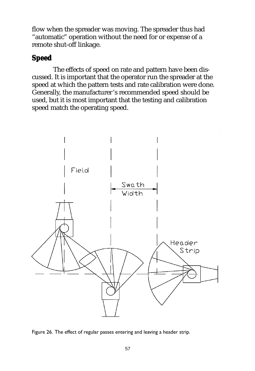flow when the spreader was moving. The spreader thus had "automatic" operation without the need for or expense of a remote shut-off linkage.

### **Speed**

The effects of speed on rate and pattern have been discussed. It is important that the operator run the spreader at the speed at which the pattern tests and rate calibration were done. Generally, the manufacturer's recommended speed should be used, but it is most important that the testing and calibration speed match the operating speed.



Figure 26. The effect of regular passes entering and leaving a header strip.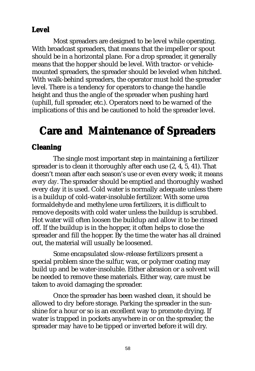### **Level**

Most spreaders are designed to be level while operating. With broadcast spreaders, that means that the impeller or spout should be in a horizontal plane. For a drop spreader, it generally means that the hopper should be level. With tractor- or vehiclemounted spreaders, the spreader should be leveled when hitched. With walk-behind spreaders, the operator must hold the spreader level. There is a tendency for operators to change the handle height and thus the angle of the spreader when pushing hard (uphill, full spreader, etc.). Operators need to be warned of the implications of this and be cautioned to hold the spreader level.

# **Care and Maintenance of Spreaders Care and Maintenance of**

### **Cleaning**

The single most important step in maintaining a fertilizer spreader is to clean it thoroughly after each use (2, 4, 5, 41). That doesn't mean after each season's use or even every week; it means *every day*. The spreader should be emptied and thoroughly washed every day it is used. Cold water is normally adequate unless there is a buildup of cold-water-insoluble fertilizer. With some urea formaldehyde and methylene urea fertilizers, it is difficult to remove deposits with cold water unless the buildup is scrubbed. Hot water will often loosen the buildup and allow it to be rinsed off. If the buildup is in the hopper, it often helps to close the spreader and fill the hopper. By the time the water has all drained out, the material will usually be loosened.

Some encapsulated slow-release fertilizers present a special problem since the sulfur, wax, or polymer coating may build up and be water-insoluble. Either abrasion or a solvent will be needed to remove these materials. Either way, care must be taken to avoid damaging the spreader.

Once the spreader has been washed clean, it should be allowed to dry before storage. Parking the spreader in the sunshine for a hour or so is an excellent way to promote drying. If water is trapped in pockets anywhere in or on the spreader, the spreader may have to be tipped or inverted before it will dry.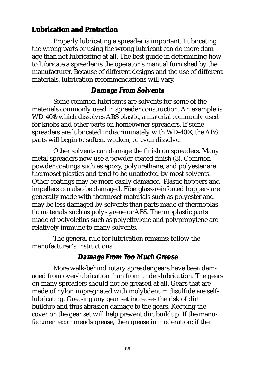### **Lubrication and Protection**

Properly lubricating a spreader is important. Lubricating the wrong parts or using the wrong lubricant can do more damage than not lubricating at all. The best guide in determining how to lubricate a spreader is the operator's manual furnished by the manufacturer. Because of different designs and the use of different materials, lubrication recommendations will vary.

### *Damage Fr Damage From Solvents*

Some common lubricants are solvents for some of the materials commonly used in spreader construction. An example is WD-40® which dissolves ABS plastic, a material commonly used for knobs and other parts on homeowner spreaders. If some spreaders are lubricated indiscriminately with WD-40®, the ABS parts will begin to soften, weaken, or even dissolve.

Other solvents can damage the finish on spreaders. Many metal spreaders now use a powder-coated finish (3). Common powder coatings such as epoxy, polyurethane, and polyester are thermoset plastics and tend to be unaffected by most solvents. Other coatings may be more easily damaged. Plastic hoppers and impellers can also be damaged. Fiberglass-reinforced hoppers are generally made with thermoset materials such as polyester and may be less damaged by solvents than parts made of thermoplastic materials such as polystyrene or ABS. Thermoplastic parts made of polyolefins such as polyethylene and polypropylene are relatively immune to many solvents.

The general rule for lubrication remains: follow the manufacturer's instructions.

# *Damage Fr Damage From Too Much Gr oo Much Grease*

More walk-behind rotary spreader gears have been damaged from over-lubrication than from under-lubrication. The gears on many spreaders should not be greased at all. Gears that are made of nylon impregnated with molybdenum disulfide are selflubricating. Greasing any gear set increases the risk of dirt buildup and thus abrasion damage to the gears. Keeping the cover on the gear set will help prevent dirt buildup. If the manufacturer recommends grease, then grease in moderation; if the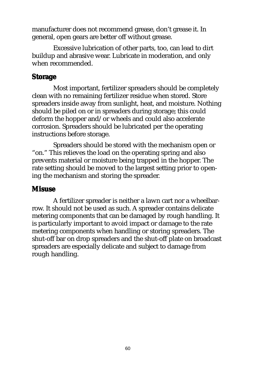manufacturer does not recommend grease, don't grease it. In general, open gears are better off without grease.

Excessive lubrication of other parts, too, can lead to dirt buildup and abrasive wear. Lubricate in moderation, and only when recommended.

### **Storage**

Most important, fertilizer spreaders should be completely clean with no remaining fertilizer residue when stored. Store spreaders inside away from sunlight, heat, and moisture. Nothing should be piled on or in spreaders during storage; this could deform the hopper and/or wheels and could also accelerate corrosion. Spreaders should be lubricated per the operating instructions before storage.

Spreaders should be stored with the mechanism open or "on." This relieves the load on the operating spring and also prevents material or moisture being trapped in the hopper. The rate setting should be moved to the largest setting prior to opening the mechanism and storing the spreader.

### **Misuse**

A fertilizer spreader is neither a lawn cart nor a wheelbarrow. It should not be used as such. A spreader contains delicate metering components that can be damaged by rough handling. It is particularly important to avoid impact or damage to the rate metering components when handling or storing spreaders. The shut-off bar on drop spreaders and the shut-off plate on broadcast spreaders are especially delicate and subject to damage from rough handling.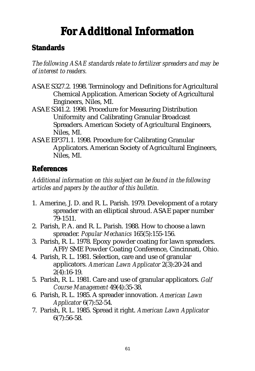# **For Additional Information**

### **Standards**

*The following ASAE standards relate to fertilizer spreaders and may be of interest to readers.*

- ASAE S327.2. 1998. Terminology and Definitions for Agricultural Chemical Application. American Society of Agricultural Engineers, Niles, MI.
- ASAE S341.2. 1998. Procedure for Measuring Distribution Uniformity and Calibrating Granular Broadcast Spreaders. American Society of Agricultural Engineers, Niles, MI.
- ASAE EP371.1. 1998. Procedure for Calibrating Granular Applicators. American Society of Agricultural Engineers, Niles, MI.

### **References**

*Additional information on this subject can be found in the following articles and papers by the author of this bulletin.*

- 1. Amerine, J. D. and R. L. Parish. 1979. Development of a rotary spreader with an elliptical shroud. ASAE paper number 79-1511.
- 2. Parish, P. A. and R. L. Parish. 1988. How to choose a lawn spreader. *Popular Mechanics* 165(5):155-156.
- 3. Parish, R. L. 1978. Epoxy powder coating for lawn spreaders. AFP/SME Powder Coating Conference, Cincinnati, Ohio.
- 4. Parish, R. L. 1981. Selection, care and use of granular applicators. *American Lawn Applicator* 2(3):20-24 and 2(4):16-19.
- 5. Parish, R. L. 1981. Care and use of granular applicators. *Golf Course Management* 49(4):35-38.
- 6. Parish, R. L. 1985. A spreader innovation. *American Lawn Applicator* 6(7):52-54.
- 7. Parish, R. L. 1985. Spread it right. *American Lawn Applicator* 6(7):56-58.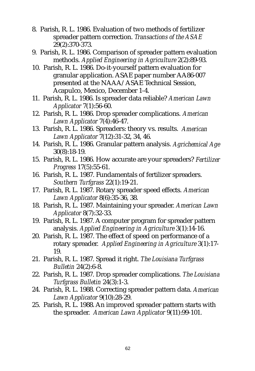- 8. Parish, R. L. 1986. Evaluation of two methods of fertilizer spreader pattern correction. *Transactions of the ASAE* 29(2):370-373.
- 9. Parish, R. L. 1986. Comparison of spreader pattern evaluation methods. *Applied Engineering in Agriculture* 2(2):89-93.
- 10. Parish, R. L. 1986. Do-it-yourself pattern evaluation for granular application. ASAE paper number AA86-007 presented at the NAAA/ASAE Technical Session, Acapulco, Mexico, December 1-4.
- 11. Parish, R. L. 1986. Is spreader data reliable? *American Lawn Applicator* 7(1):56-60.
- 12. Parish, R. L. 1986. Drop spreader complications. *American Lawn Applicator* 7(4):46-47.
- 13. Parish, R. L. 1986. Spreaders: theory vs. results. *American Lawn Applicator* 7(12):31-32, 34, 46.
- 14. Parish, R. L. 1986. Granular pattern analysis. *Agrichemical Age* 30(8):18-19.
- 15. Parish, R. L. 1986. How accurate are your spreaders? *Fertilizer Progress* 17(5):55-61.
- 16. Parish, R. L. 1987. Fundamentals of fertilizer spreaders. *Southern Turfgrass* 22(1):19-21.
- 17. Parish, R. L. 1987. Rotary spreader speed effects. *American Lawn Applicator* 8(6):35-36, 38.
- 18. Parish, R. L. 1987. Maintaining your spreader. *American Lawn Applicator* 8(7):32-33.
- 19. Parish, R. L. 1987. A computer program for spreader pattern analysis. *Applied Engineering in Agriculture* 3(1):14-16.
- 20. Parish, R. L. 1987. The effect of speed on performance of a rotary spreader. *Applied Engineering in Agriculture* 3(1):17- 19.
- 21. Parish, R. L. 1987. Spread it right. *The Louisiana Turfgrass Bulletin* 24(2):6-8.
- 22. Parish, R. L. 1987. Drop spreader complications. *The Louisiana Turfgrass Bulletin* 24(3):1-3.
- 24. Parish, R. L. 1988. Correcting spreader pattern data. *American Lawn Applicator* 9(10):28-29.
- 25. Parish, R. L. 1988. An improved spreader pattern starts with the spreader. *American Lawn Applicator* 9(11):99-101.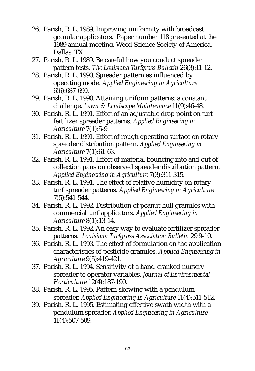- 26. Parish, R. L. 1989. Improving uniformity with broadcast granular applicators. Paper number 118 presented at the 1989 annual meeting, Weed Science Society of America, Dallas, TX.
- 27. Parish, R. L. 1989. Be careful how you conduct spreader pattern tests. *The Louisiana Turfgrass Bulletin* 26(3):11-12.
- 28. Parish, R. L. 1990. Spreader pattern as influenced by operating mode. *Applied Engineering in Agriculture* 6(6):687-690.
- 29. Parish, R. L. 1990. Attaining uniform patterns: a constant challenge. *Lawn & Landscape Maintenance* 11(9):46-48.
- 30. Parish, R. L. 1991. Effect of an adjustable drop point on turf fertilizer spreader patterns. *Applied Engineering in Agriculture* 7(1):5-9.
- 31. Parish, R. L. 1991. Effect of rough operating surface on rotary spreader distribution pattern. *Applied Engineering in Agriculture* 7(1):61-63.
- 32. Parish, R. L. 1991. Effect of material bouncing into and out of collection pans on observed spreader distribution pattern. *Applied Engineering in Agriculture* 7(3):311-315.
- 33. Parish, R. L. 1991. The effect of relative humidity on rotary turf spreader patterns. *Applied Engineering in Agriculture* 7(5):541-544.
- 34. Parish, R. L. 1992. Distribution of peanut hull granules with commercial turf applicators. *Applied Engineering in Agriculture* 8(1):13-14.
- 35. Parish, R. L. 1992. An easy way to evaluate fertilizer spreader patterns. *Louisiana Turfgrass Association Bulletin* 29:9-10.
- 36. Parish, R. L. 1993. The effect of formulation on the application characteristics of pesticide granules. *Applied Engineering in Agriculture* 9(5):419-421.
- 37. Parish, R. L. 1994. Sensitivity of a hand-cranked nursery spreader to operator variables. *Journal of Environmental Horticulture* 12(4):187-190.
- 38. Parish, R. L. 1995. Pattern skewing with a pendulum spreader. *Applied Engineering in Agriculture* 11(4):511-512.
- 39. Parish, R. L. 1995. Estimating effective swath width with a pendulum spreader. *Applied Engineering in Agriculture* 11(4):507-509.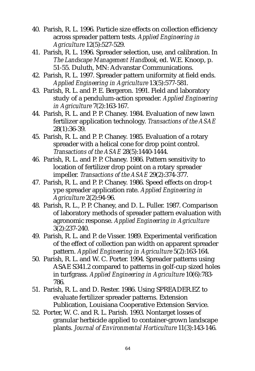- 40. Parish, R. L. 1996. Particle size effects on collection efficiency across spreader pattern tests. *Applied Engineering in Agriculture* 12(5):527-529.
- 41. Parish, R. L. 1996. Spreader selection, use, and calibration. In *The Landscape Management Handbook*, ed. W.E. Knoop, p. 51-55. Duluth, MN: Advanstar Communications.
- 42. Parish, R. L. 1997. Spreader pattern uniformity at field ends. *Applied Engineering in Agriculture* 13(5):577-581.
- 43. Parish, R. L. and P. E. Bergeron. 1991. Field and laboratory study of a pendulum-action spreader. *Applied Engineering in Agriculture* 7(2):163-167.
- 44. Parish, R. L. and P. P. Chaney. 1984. Evaluation of new lawn fertilizer application technology. *Transactions of the ASAE* 28(1):36-39.
- 45. Parish, R. L. and P. P. Chaney. 1985. Evaluation of a rotary spreader with a helical cone for drop point control. *Transactions of the ASAE* 28(5):1440-1444.
- 46. Parish, R. L. and P. P. Chaney. 1986. Pattern sensitivity to location of fertilizer drop point on a rotary spreader impeller. *Transactions of the ASAE* 29(2):374-377.
- 47. Parish, R. L. and P. P. Chaney. 1986. Speed effects on drop-t ype spreader application rate. *Applied Engineering in Agriculture* 2(2):94-96.
- 48. Parish, R. L., P. P. Chaney, and D. L. Fuller. 1987. Comparison of laboratory methods of spreader pattern evaluation with agronomic response. *Applied Engineering in Agriculture* 3(2):237-240.
- 49. Parish, R. L. and P. de Visser. 1989. Experimental verification of the effect of collection pan width on apparent spreader pattern. *Applied Engineering in Agriculture* 5(2):163-164.
- 50. Parish, R. L. and W. C. Porter. 1994. Spreader patterns using ASAE S341.2 compared to patterns in golf-cup sized holes in turfgrass. *Applied Engineering in Agriculture* 10(6):783- 786.
- 51. Parish, R. L. and D. Rester. 1986. Using SPREADER.EZ to evaluate fertilizer spreader patterns. Extension Publication, Louisiana Cooperative Extension Service.
- 52. Porter, W. C. and R. L. Parish. 1993. Nontarget losses of granular herbicide applied to container-grown landscape plants. *Journal of Environmental Horticulture* 11(3):143-146.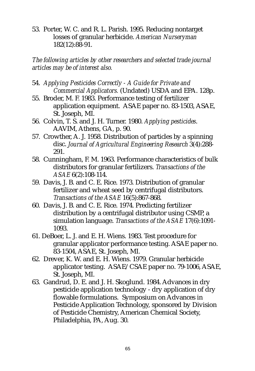53. Porter, W. C. and R. L. Parish. 1995. Reducing nontarget losses of granular herbicide. *American Nurseryman* 182(12):88-91.

*The following articles by other researchers and selected trade journal articles may be of interest also.*

- 54. *Applying Pesticides Correctly A Guide for Private and Commercial Applicators.* (Undated) USDA and EPA. 128p.
- 55. Broder, M. F. 1983. Performance testing of fertilizer application equipment. ASAE paper no. 83-1503, ASAE, St. Joseph, MI.
- 56. Colvin, T. S. and J. H. Turner. 1980. *Applying pesticides*. AAVIM, Athens, GA, p. 90.
- 57. Crowther, A. J. 1958. Distribution of particles by a spinning disc. *Journal of Agricultural Engineering Research* 3(4):288- 291.
- 58. Cunningham, F. M. 1963. Performance characteristics of bulk distributors for granular fertilizers. *Transactions of the ASAE* 6(2):108-114.
- 59. Davis, J. B. and C. E. Rice. 1973. Distribution of granular fertilizer and wheat seed by centrifugal distributors. *Transactions of the ASAE* 16(5):867-868.
- 60. Davis, J. B. and C. E. Rice. 1974. Predicting fertilizer distribution by a centrifugal distributor using CSMP, a simulation language. *Transactions of the ASAE* 17(6):1091- 1093.
- 61. DeBoer, L. J. and E. H. Wiens. 1983. Test procedure for granular applicator performance testing. ASAE paper no. 83-1504, ASAE, St. Joseph, MI.
- 62. Drever, K. W. and E. H. Wiens. 1979. Granular herbicide applicator testing. ASAE/CSAE paper no. 79-1006, ASAE, St. Joseph, MI.
- 63. Gandrud, D. E. and J. H. Skoglund. 1984. Advances in dry pesticide application technology - dry application of dry flowable formulations. Symposium on Advances in Pesticide Application Technology, sponsored by Division of Pesticide Chemistry, American Chemical Society, Philadelphia, PA, Aug. 30.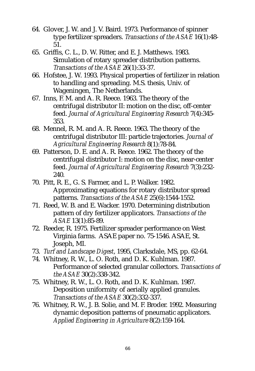- 64. Glover, J. W. and J. V. Baird. 1973. Performance of spinner type fertilizer spreaders. *Transactions of the ASAE* 16(1):48- 51.
- 65. Griffis, C. L., D. W. Ritter, and E. J. Matthews. 1983. Simulation of rotary spreader distribution patterns. *Transactions of the ASAE* 26(1):33-37.
- 66. Hofstee, J. W. 1993. Physical properties of fertilizer in relation to handling and spreading. M.S. thesis, Univ. of Wageningen, The Netherlands.
- 67. Inns, F. M. and A. R. Reece. 1963. The theory of the centrifugal distributor II: motion on the disc, off-center feed. *Journal of Agricultural Engineering Research* 7(4):345- 353.
- 68. Mennel, R. M. and A. R. Reece. 1963. The theory of the centrifugal distributor III: particle trajectories. *Journal of Agricultural Engineering Research* 8(1):78-84.
- 69. Patterson, D. E. and A. R. Reece. 1962. The theory of the centrifugal distributor I: motion on the disc, near-center feed. *Journal of Agricultural Engineering Research* 7(3):232- 240.
- 70. Pitt, R. E., G. S. Farmer, and L. P. Walker. 1982. Approximating equations for rotary distributor spread patterns. *Transactions of the ASAE* 25(6):1544-1552.
- 71. Reed, W. B. and E. Wacker. 1970. Determining distribution pattern of dry fertilizer applicators. *Transactions of the ASAE* 13(1):85-89.
- 72. Reeder, R. 1975. Fertilizer spreader performance on West Virginia farms. ASAE paper no. 75-1546. ASAE, St. Joseph, MI.
- 73. *Turf and Landscape Digest*, 1995, Clarksdale, MS, pp. 62-64.
- 74. Whitney, R. W., L. O. Roth, and D. K. Kuhlman. 1987. Performance of selected granular collectors. *Transactions of the ASAE* 30(2):338-342.
- 75. Whitney, R. W., L. O. Roth, and D. K. Kuhlman. 1987. Deposition uniformity of aerially applied granules. *Transactions of the ASAE* 30(2):332-337.
- 76. Whitney, R. W., J. B. Solie, and M. F. Broder. 1992. Measuring dynamic deposition patterns of pneumatic applicators. *Applied Engineering in Agriculture* 8(2):159-164.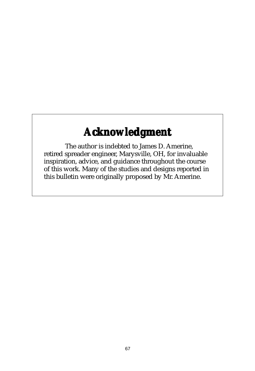# **Acknowledgment Acknowledgment**

The author is indebted to James D. Amerine, retired spreader engineer, Marysville, OH, for invaluable inspiration, advice, and guidance throughout the course of this work. Many of the studies and designs reported in this bulletin were originally proposed by Mr. Amerine.